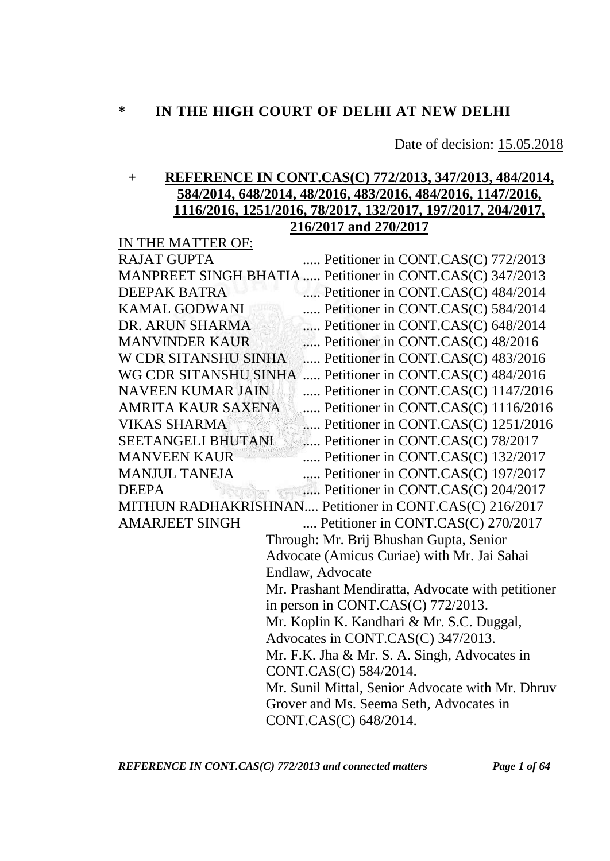## **\* IN THE HIGH COURT OF DELHI AT NEW DELHI**

Date of decision: 15.05.2018

## **+ REFERENCE IN CONT.CAS(C) 772/2013, 347/2013, 484/2014, 584/2014, 648/2014, 48/2016, 483/2016, 484/2016, 1147/2016, 1116/2016, 1251/2016, 78/2017, 132/2017, 197/2017, 204/2017, 216/2017 and 270/2017**

| IN THE MATTER OF:     |                                                           |
|-----------------------|-----------------------------------------------------------|
| RAJAT GUPTA           | Petitioner in CONT.CAS(C) 772/2013                        |
|                       | MANPREET SINGH BHATIA  Petitioner in CONT.CAS(C) 347/2013 |
| <b>DEEPAK BATRA</b>   | Petitioner in CONT.CAS(C) 484/2014                        |
| KAMAL GODWANI         | Petitioner in CONT.CAS(C) 584/2014                        |
| DR. ARUN SHARMA       | Petitioner in CONT.CAS(C) 648/2014                        |
| MANVINDER KAUR        | Petitioner in CONT.CAS(C) 48/2016                         |
| W CDR SITANSHU SINHA  | Petitioner in CONT.CAS(C) 483/2016                        |
|                       | WG CDR SITANSHU SINHA  Petitioner in CONT.CAS(C) 484/2016 |
| NAVEEN KUMAR JAIN     | Petitioner in CONT.CAS(C) 1147/2016                       |
| AMRITA KAUR SAXENA    | Petitioner in CONT.CAS(C) 1116/2016                       |
| <b>VIKAS SHARMA</b>   | Petitioner in CONT.CAS(C) 1251/2016                       |
| SEETANGELI BHUTANI    | Petitioner in CONT.CAS(C) 78/2017                         |
| <b>MANVEEN KAUR</b>   | Petitioner in CONT.CAS(C) 132/2017                        |
| <b>MANJUL TANEJA</b>  | Petitioner in CONT.CAS(C) 197/2017                        |
| <b>DEEPA</b>          | Petitioner in CONT.CAS(C) 204/2017                        |
|                       | MITHUN RADHAKRISHNAN Petitioner in CONT.CAS(C) 216/2017   |
| <b>AMARJEET SINGH</b> | Petitioner in CONT.CAS(C) 270/2017                        |
|                       | Through: Mr. Brij Bhushan Gupta, Senior                   |
|                       | Advocate (Amicus Curiae) with Mr. Jai Sahai               |
|                       | Endlaw, Advocate                                          |
|                       | Mr. Prashant Mendiratta, Advocate with petitioner         |
|                       | in person in CONT.CAS(C) 772/2013.                        |
|                       | Mr. Koplin K. Kandhari & Mr. S.C. Duggal,                 |
|                       | Advocates in CONT.CAS(C) 347/2013.                        |
|                       | Mr. F.K. Jha & Mr. S. A. Singh, Advocates in              |
|                       | CONT.CAS(C) 584/2014.                                     |
|                       | Mr. Sunil Mittal, Senior Advocate with Mr. Dhruv          |
|                       | Grover and Ms. Seema Seth, Advocates in                   |
|                       | CONT.CAS(C) 648/2014.                                     |
|                       |                                                           |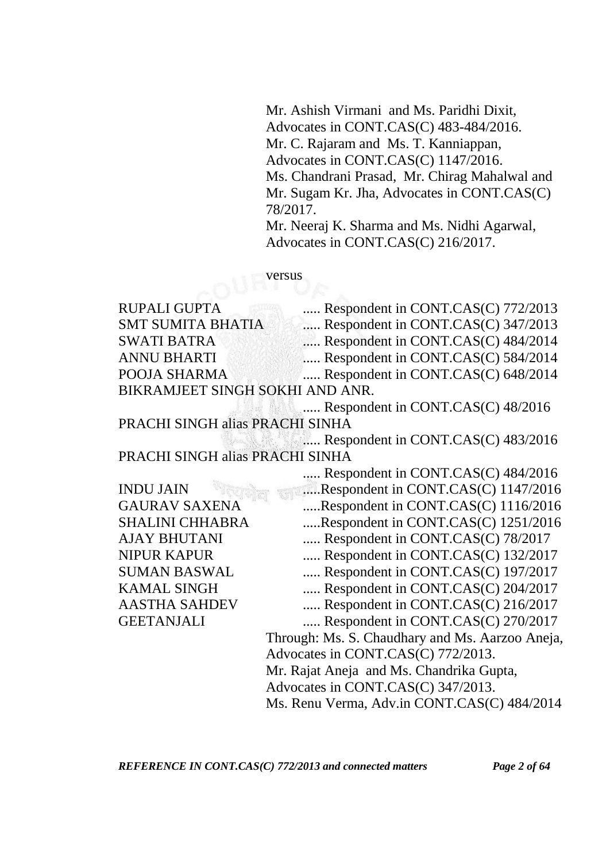Mr. Ashish Virmani and Ms. Paridhi Dixit, Advocates in CONT.CAS(C) 483-484/2016. Mr. C. Rajaram and Ms. T. Kanniappan, Advocates in CONT.CAS(C) 1147/2016. Ms. Chandrani Prasad, Mr. Chirag Mahalwal and Mr. Sugam Kr. Jha, Advocates in CONT.CAS(C) 78/2017. Mr. Neeraj K. Sharma and Ms. Nidhi Agarwal, Advocates in CONT.CAS(C) 216/2017.

versus

| <b>RUPALI GUPTA</b>             | Respondent in CONT.CAS(C) 772/2013              |
|---------------------------------|-------------------------------------------------|
| <b>SMT SUMITA BHATIA</b>        | Respondent in CONT.CAS(C) 347/2013              |
| <b>SWATI BATRA</b>              | Respondent in CONT.CAS(C) 484/2014              |
| <b>ANNU BHARTI</b>              | Respondent in CONT.CAS(C) 584/2014              |
| POOJA SHARMA                    | Respondent in CONT.CAS(C) 648/2014              |
| BIKRAMJEET SINGH SOKHI AND ANR. |                                                 |
|                                 | Respondent in CONT.CAS(C) 48/2016               |
| PRACHI SINGH alias PRACHI SINHA |                                                 |
|                                 | Respondent in CONT.CAS(C) 483/2016              |
| PRACHI SINGH alias PRACHI SINHA |                                                 |
|                                 | Respondent in CONT.CAS(C) 484/2016              |
| <b>INDU JAIN</b>                | Respondent in CONT.CAS(C) 1147/2016             |
| <b>GAURAV SAXENA</b>            | Respondent in CONT.CAS(C) 1116/2016             |
| <b>SHALINI CHHABRA</b>          | Respondent in CONT.CAS(C) 1251/2016             |
| <b>AJAY BHUTANI</b>             | Respondent in CONT.CAS(C) 78/2017               |
| <b>NIPUR KAPUR</b>              | Respondent in CONT.CAS(C) 132/2017              |
| <b>SUMAN BASWAL</b>             | Respondent in CONT.CAS(C) 197/2017              |
| <b>KAMAL SINGH</b>              | Respondent in CONT.CAS(C) 204/2017              |
| <b>AASTHA SAHDEV</b>            | Respondent in CONT.CAS(C) 216/2017              |
| <b>GEETANJALI</b>               | Respondent in CONT.CAS(C) 270/2017              |
|                                 | Through: Ms. S. Chaudhary and Ms. Aarzoo Aneja, |
|                                 | Advocates in CONT.CAS(C) 772/2013.              |
|                                 | Mr. Rajat Aneja and Ms. Chandrika Gupta,        |
|                                 | Advocates in CONT.CAS(C) 347/2013.              |
|                                 | Ms. Renu Verma, Adv.in CONT.CAS(C) 484/2014     |

*REFERENCE IN CONT.CAS(C) 772/2013 and connected matters Page 2 of 64*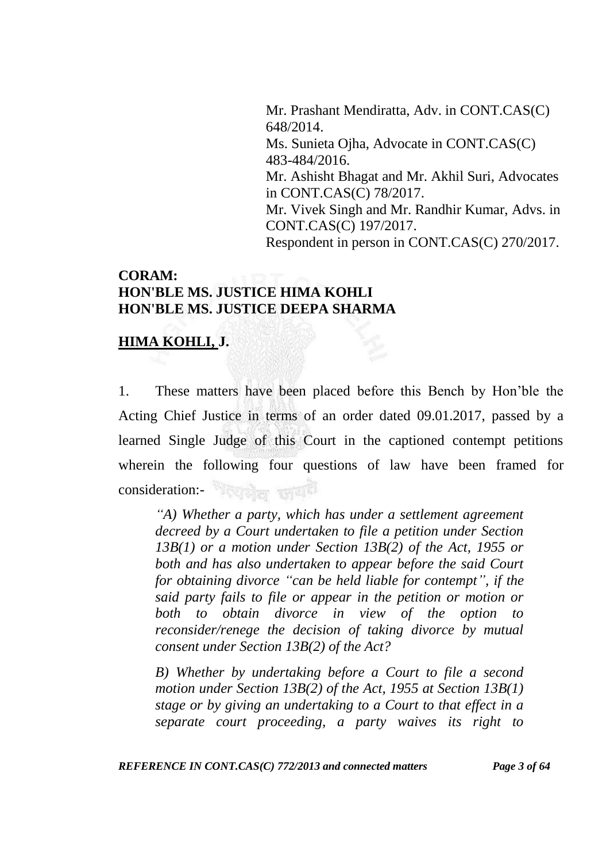Mr. Prashant Mendiratta, Adv. in CONT.CAS(C) 648/2014. Ms. Sunieta Ojha, Advocate in CONT.CAS(C)

483-484/2016.

Mr. Ashisht Bhagat and Mr. Akhil Suri, Advocates in CONT.CAS(C) 78/2017. Mr. Vivek Singh and Mr. Randhir Kumar, Advs. in CONT.CAS(C) 197/2017.

Respondent in person in CONT.CAS(C) 270/2017.

## **CORAM: HON'BLE MS. JUSTICE HIMA KOHLI HON'BLE MS. JUSTICE DEEPA SHARMA**

## **HIMA KOHLI, J.**

1. These matters have been placed before this Bench by Hon"ble the Acting Chief Justice in terms of an order dated 09.01.2017, passed by a learned Single Judge of this Court in the captioned contempt petitions wherein the following four questions of law have been framed for consideration:-

*―A) Whether a party, which has under a settlement agreement decreed by a Court undertaken to file a petition under Section 13B(1) or a motion under Section 13B(2) of the Act, 1955 or both and has also undertaken to appear before the said Court for obtaining divorce "can be held liable for contempt", if the said party fails to file or appear in the petition or motion or both to obtain divorce in view of the option to reconsider/renege the decision of taking divorce by mutual consent under Section 13B(2) of the Act?* 

*B) Whether by undertaking before a Court to file a second motion under Section 13B(2) of the Act, 1955 at Section 13B(1) stage or by giving an undertaking to a Court to that effect in a separate court proceeding, a party waives its right to* 

*REFERENCE IN CONT.CAS(C) 772/2013 and connected matters Page 3 of 64*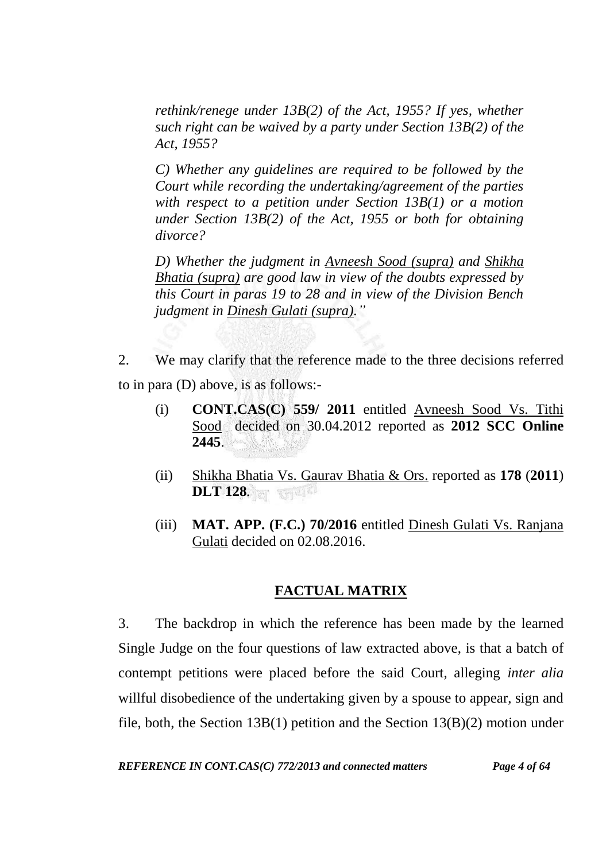*rethink/renege under 13B(2) of the Act, 1955? If yes, whether such right can be waived by a party under Section 13B(2) of the Act, 1955?* 

*C) Whether any guidelines are required to be followed by the Court while recording the undertaking/agreement of the parties with respect to a petition under Section 13B(1) or a motion under Section 13B(2) of the Act, 1955 or both for obtaining divorce?* 

*D) Whether the judgment in Avneesh Sood (supra) and Shikha Bhatia (supra) are good law in view of the doubts expressed by this Court in paras 19 to 28 and in view of the Division Bench judgment in Dinesh Gulati (supra).*"

- 2. We may clarify that the reference made to the three decisions referred to in para (D) above, is as follows:-
	- (i) **CONT.CAS(C) 559/ 2011** entitled Avneesh Sood Vs. Tithi Sood decided on 30.04.2012 reported as **2012 SCC Online 2445**.
	- (ii) Shikha Bhatia Vs. Gaurav Bhatia & Ors. reported as **178** (**2011**) **DLT 128***.*
	- (iii) **MAT. APP. (F.C.) 70/2016** entitled Dinesh Gulati Vs. Ranjana Gulati decided on 02.08.2016.

# **FACTUAL MATRIX**

3. The backdrop in which the reference has been made by the learned Single Judge on the four questions of law extracted above, is that a batch of contempt petitions were placed before the said Court, alleging *inter alia* willful disobedience of the undertaking given by a spouse to appear, sign and file, both, the Section 13B(1) petition and the Section 13(B)(2) motion under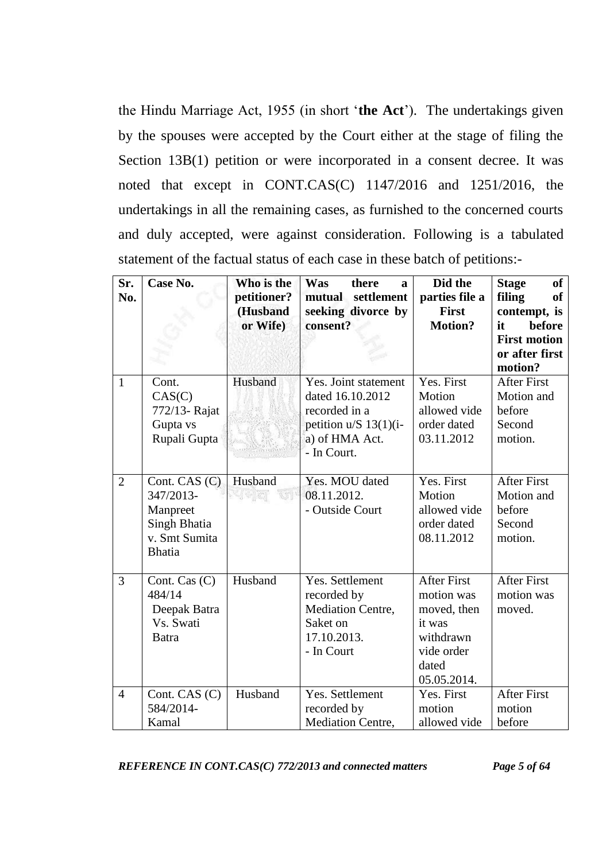the Hindu Marriage Act, 1955 (in short "**the Act**"). The undertakings given by the spouses were accepted by the Court either at the stage of filing the Section 13B(1) petition or were incorporated in a consent decree. It was noted that except in CONT.CAS(C) 1147/2016 and 1251/2016, the undertakings in all the remaining cases, as furnished to the concerned courts and duly accepted, were against consideration. Following is a tabulated statement of the factual status of each case in these batch of petitions:-

| Sr.<br>No.     | Case No.                                                                                 | Who is the<br>petitioner?<br>(Husband<br>or Wife) | Was<br>there<br>a<br>settlement<br>mutual<br>seeking divorce by<br>consent?                                           | Did the<br>parties file a<br><b>First</b><br><b>Motion?</b>                                                  | <b>Stage</b><br>of<br><b>of</b><br>filing<br>contempt, is<br>before<br>it<br><b>First motion</b><br>or after first<br>motion? |
|----------------|------------------------------------------------------------------------------------------|---------------------------------------------------|-----------------------------------------------------------------------------------------------------------------------|--------------------------------------------------------------------------------------------------------------|-------------------------------------------------------------------------------------------------------------------------------|
| $\mathbf{1}$   | Cont.<br>CAS(C)<br>772/13- Rajat<br>Gupta vs<br>Rupali Gupta                             | Husband                                           | Yes. Joint statement<br>dated 16.10.2012<br>recorded in a<br>petition $u/S$ 13(1)(i-<br>a) of HMA Act.<br>- In Court. | Yes. First<br>Motion<br>allowed vide<br>order dated<br>03.11.2012                                            | <b>After First</b><br>Motion and<br>before<br>Second<br>motion.                                                               |
| $\overline{2}$ | Cont. CAS (C)<br>347/2013-<br>Manpreet<br>Singh Bhatia<br>v. Smt Sumita<br><b>Bhatia</b> | Husband<br>kan l                                  | Yes. MOU dated<br>08.11.2012.<br>- Outside Court                                                                      | Yes. First<br>Motion<br>allowed vide<br>order dated<br>08.11.2012                                            | <b>After First</b><br>Motion and<br>before<br>Second<br>motion.                                                               |
| 3              | Cont. Cas $(C)$<br>484/14<br>Deepak Batra<br>Vs. Swati<br><b>Batra</b>                   | Husband                                           | Yes. Settlement<br>recorded by<br>Mediation Centre,<br>Saket on<br>17.10.2013.<br>- In Court                          | <b>After First</b><br>motion was<br>moved, then<br>it was<br>withdrawn<br>vide order<br>dated<br>05.05.2014. | <b>After First</b><br>motion was<br>moved.                                                                                    |
| $\overline{4}$ | Cont. CAS (C)<br>584/2014-<br>Kamal                                                      | Husband                                           | Yes. Settlement<br>recorded by<br>Mediation Centre,                                                                   | Yes. First<br>motion<br>allowed vide                                                                         | <b>After First</b><br>motion<br>before                                                                                        |

*REFERENCE IN CONT.CAS(C) 772/2013 and connected matters Page 5 of 64*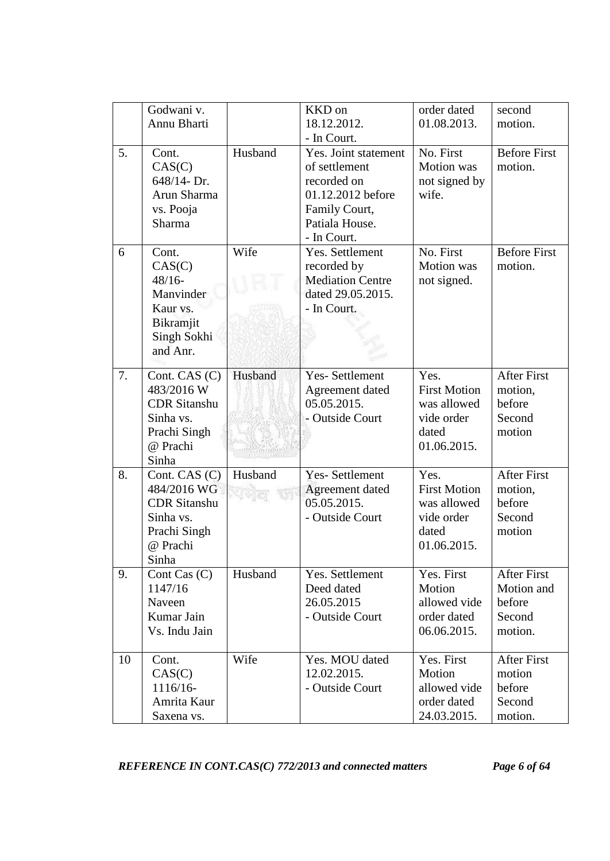|    | Godwani v.<br>Annu Bharti                                                                              |         | KKD on<br>18.12.2012.<br>- In Court.                                                                                                      | order dated<br>01.08.2013.                                                       | second<br>motion.                                               |
|----|--------------------------------------------------------------------------------------------------------|---------|-------------------------------------------------------------------------------------------------------------------------------------------|----------------------------------------------------------------------------------|-----------------------------------------------------------------|
| 5. | Cont.<br>CAS(C)<br>648/14-Dr.<br>Arun Sharma<br>vs. Pooja<br>Sharma                                    | Husband | $\overline{Y}$ es. Joint statement<br>of settlement<br>recorded on<br>01.12.2012 before<br>Family Court,<br>Patiala House.<br>- In Court. | No. First<br><b>Motion</b> was<br>not signed by<br>wife.                         | <b>Before First</b><br>motion.                                  |
| 6  | Cont.<br>CAS(C)<br>$48/16 -$<br>Manvinder<br>Kaur vs.<br>Bikramjit<br>Singh Sokhi<br>and Anr.          | Wife    | Yes. Settlement<br>recorded by<br><b>Mediation Centre</b><br>dated 29.05.2015.<br>- In Court.                                             | No. First<br>Motion was<br>not signed.                                           | <b>Before First</b><br>motion.                                  |
| 7. | Cont. CAS $(C)$<br>483/2016 W<br><b>CDR</b> Sitanshu<br>Sinha vs.<br>Prachi Singh<br>@ Prachi<br>Sinha | Husband | Yes-Settlement<br>Agreement dated<br>05.05.2015.<br>- Outside Court                                                                       | Yes.<br><b>First Motion</b><br>was allowed<br>vide order<br>dated<br>01.06.2015. | <b>After First</b><br>motion,<br>before<br>Second<br>motion     |
| 8. | Cont. CAS (C)<br>484/2016 WG<br><b>CDR</b> Sitanshu<br>Sinha vs.<br>Prachi Singh<br>@ Prachi<br>Sinha  | Husband | <b>Yes-Settlement</b><br>Agreement dated<br>05.05.2015.<br>- Outside Court                                                                | Yes.<br><b>First Motion</b><br>was allowed<br>vide order<br>dated<br>01.06.2015. | <b>After First</b><br>motion,<br>before<br>Second<br>motion     |
| 9. | Cont Cas $(C)$<br>1147/16<br>Naveen<br>Kumar Jain<br>Vs. Indu Jain                                     | Husband | Yes. Settlement<br>Deed dated<br>26.05.2015<br>- Outside Court                                                                            | Yes. First<br>Motion<br>allowed vide<br>order dated<br>06.06.2015.               | <b>After First</b><br>Motion and<br>before<br>Second<br>motion. |
| 10 | Cont.<br>CAS(C)<br>1116/16-<br>Amrita Kaur<br>Saxena vs.                                               | Wife    | Yes. MOU dated<br>12.02.2015.<br>- Outside Court                                                                                          | Yes. First<br>Motion<br>allowed vide<br>order dated<br>24.03.2015.               | <b>After First</b><br>motion<br>before<br>Second<br>motion.     |

*REFERENCE IN CONT.CAS(C) 772/2013 and connected matters Page 6 of 64*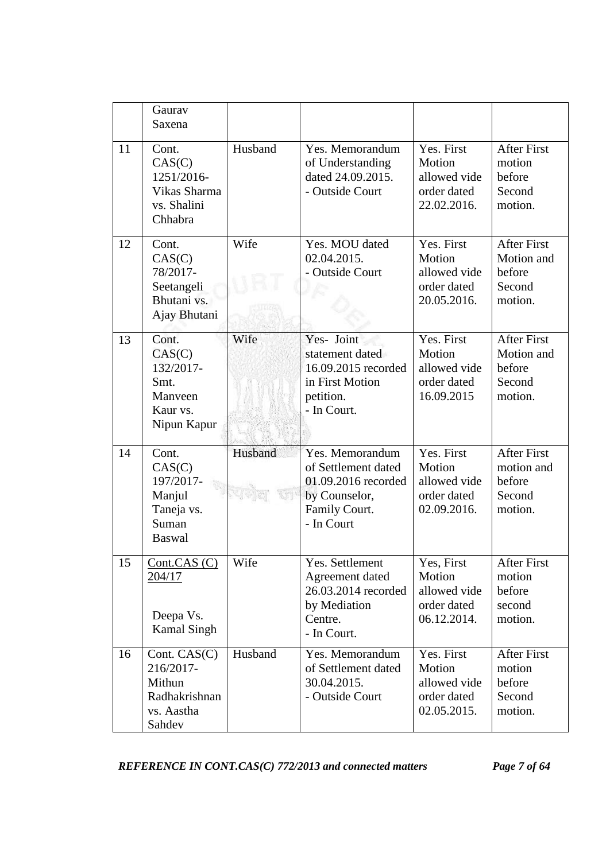|    | Gaurav<br>Saxena                                                               |         |                                                                                                               |                                                                    |                                                                 |
|----|--------------------------------------------------------------------------------|---------|---------------------------------------------------------------------------------------------------------------|--------------------------------------------------------------------|-----------------------------------------------------------------|
| 11 | Cont.<br>CAS(C)<br>1251/2016-<br>Vikas Sharma<br>vs. Shalini<br>Chhabra        | Husband | Yes. Memorandum<br>of Understanding<br>dated 24.09.2015.<br>- Outside Court                                   | Yes. First<br>Motion<br>allowed vide<br>order dated<br>22.02.2016. | <b>After First</b><br>motion<br>before<br>Second<br>motion.     |
| 12 | Cont.<br>CAS(C)<br>78/2017-<br>Seetangeli<br>Bhutani vs.<br>Ajay Bhutani       | Wife    | Yes. MOU dated<br>02.04.2015.<br>- Outside Court                                                              | Yes. First<br>Motion<br>allowed vide<br>order dated<br>20.05.2016. | <b>After First</b><br>Motion and<br>before<br>Second<br>motion. |
| 13 | Cont.<br>CAS(C)<br>132/2017-<br>Smt.<br>Manyeen<br>Kaur vs.<br>Nipun Kapur     | Wife    | Yes- Joint<br>statement dated<br>16.09.2015 recorded<br>in First Motion<br>petition.<br>- In Court.           | Yes. First<br>Motion<br>allowed vide<br>order dated<br>16.09.2015  | <b>After First</b><br>Motion and<br>before<br>Second<br>motion. |
| 14 | Cont.<br>CAS(C)<br>197/2017-<br>Manjul<br>Taneja vs.<br>Suman<br><b>Baswal</b> | Husband | Yes. Memorandum<br>of Settlement dated<br>01.09.2016 recorded<br>by Counselor,<br>Family Court.<br>- In Court | Yes. First<br>Motion<br>allowed vide<br>order dated<br>02.09.2016. | <b>After First</b><br>motion and<br>before<br>Second<br>motion. |
| 15 | Cont.CAS(C)<br>204/17<br>Deepa Vs.<br><b>Kamal Singh</b>                       | Wife    | Yes. Settlement<br>Agreement dated<br>26.03.2014 recorded<br>by Mediation<br>Centre.<br>- In Court.           | Yes, First<br>Motion<br>allowed vide<br>order dated<br>06.12.2014. | <b>After First</b><br>motion<br>before<br>second<br>motion.     |
| 16 | Cont. CAS(C)<br>216/2017-<br>Mithun<br>Radhakrishnan<br>vs. Aastha<br>Sahdev   | Husband | Yes. Memorandum<br>of Settlement dated<br>30.04.2015.<br>- Outside Court                                      | Yes. First<br>Motion<br>allowed vide<br>order dated<br>02.05.2015. | <b>After First</b><br>motion<br>before<br>Second<br>motion.     |

*REFERENCE IN CONT.CAS(C) 772/2013 and connected matters Page 7 of 64*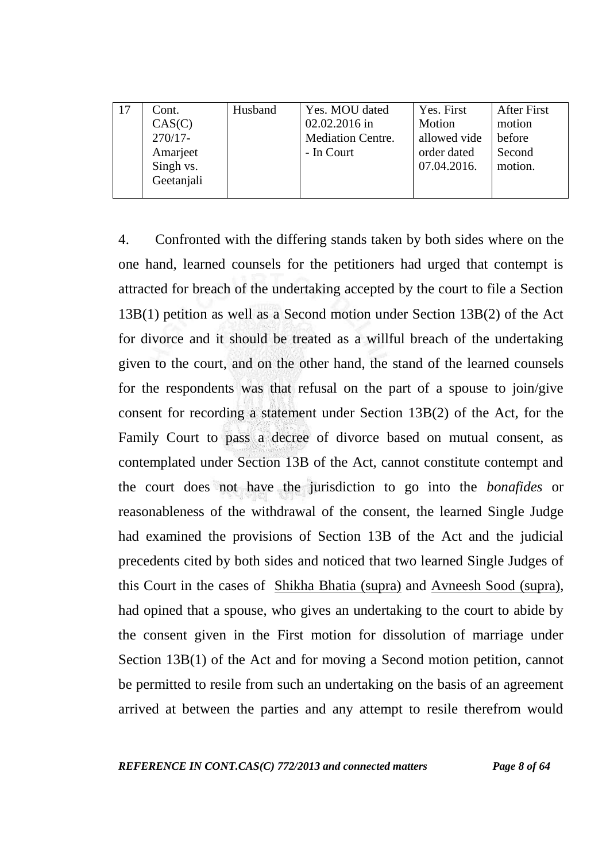| Cont.<br>CAS(C)<br>$270/17-$<br>Amarjeet<br>Singh vs.<br>Geetanjali | Husband | Yes. MOU dated<br>02.02.2016 in<br><b>Mediation Centre.</b><br>- In Court | Yes. First<br>Motion<br>allowed vide<br>order dated<br>07.04.2016. | <b>After First</b><br>motion<br>before<br>Second<br>motion. |
|---------------------------------------------------------------------|---------|---------------------------------------------------------------------------|--------------------------------------------------------------------|-------------------------------------------------------------|
|                                                                     |         |                                                                           |                                                                    |                                                             |

4. Confronted with the differing stands taken by both sides where on the one hand, learned counsels for the petitioners had urged that contempt is attracted for breach of the undertaking accepted by the court to file a Section 13B(1) petition as well as a Second motion under Section 13B(2) of the Act for divorce and it should be treated as a willful breach of the undertaking given to the court, and on the other hand, the stand of the learned counsels for the respondents was that refusal on the part of a spouse to join/give consent for recording a statement under Section 13B(2) of the Act, for the Family Court to pass a decree of divorce based on mutual consent, as contemplated under Section 13B of the Act, cannot constitute contempt and the court does not have the jurisdiction to go into the *bonafides* or reasonableness of the withdrawal of the consent, the learned Single Judge had examined the provisions of Section 13B of the Act and the judicial precedents cited by both sides and noticed that two learned Single Judges of this Court in the cases of Shikha Bhatia (supra) and Avneesh Sood (supra), had opined that a spouse, who gives an undertaking to the court to abide by the consent given in the First motion for dissolution of marriage under Section 13B(1) of the Act and for moving a Second motion petition, cannot be permitted to resile from such an undertaking on the basis of an agreement arrived at between the parties and any attempt to resile therefrom would

*REFERENCE IN CONT.CAS(C) 772/2013 and connected matters Page 8 of 64*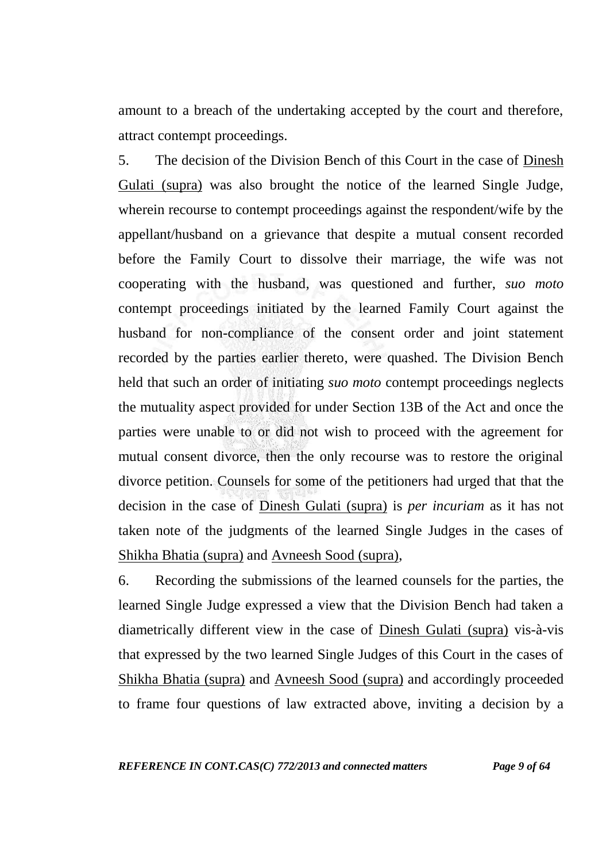amount to a breach of the undertaking accepted by the court and therefore, attract contempt proceedings.

5. The decision of the Division Bench of this Court in the case of Dinesh Gulati (supra) was also brought the notice of the learned Single Judge, wherein recourse to contempt proceedings against the respondent/wife by the appellant/husband on a grievance that despite a mutual consent recorded before the Family Court to dissolve their marriage, the wife was not cooperating with the husband, was questioned and further, *suo moto* contempt proceedings initiated by the learned Family Court against the husband for non-compliance of the consent order and joint statement recorded by the parties earlier thereto, were quashed. The Division Bench held that such an order of initiating *suo moto* contempt proceedings neglects the mutuality aspect provided for under Section 13B of the Act and once the parties were unable to or did not wish to proceed with the agreement for mutual consent divorce, then the only recourse was to restore the original divorce petition. Counsels for some of the petitioners had urged that that the decision in the case of Dinesh Gulati (supra) is *per incuriam* as it has not taken note of the judgments of the learned Single Judges in the cases of Shikha Bhatia (supra) and Avneesh Sood (supra),

6. Recording the submissions of the learned counsels for the parties, the learned Single Judge expressed a view that the Division Bench had taken a diametrically different view in the case of Dinesh Gulati (supra) vis-à-vis that expressed by the two learned Single Judges of this Court in the cases of Shikha Bhatia (supra) and Avneesh Sood (supra) and accordingly proceeded to frame four questions of law extracted above, inviting a decision by a

*REFERENCE IN CONT.CAS(C) 772/2013 and connected matters Page 9 of 64*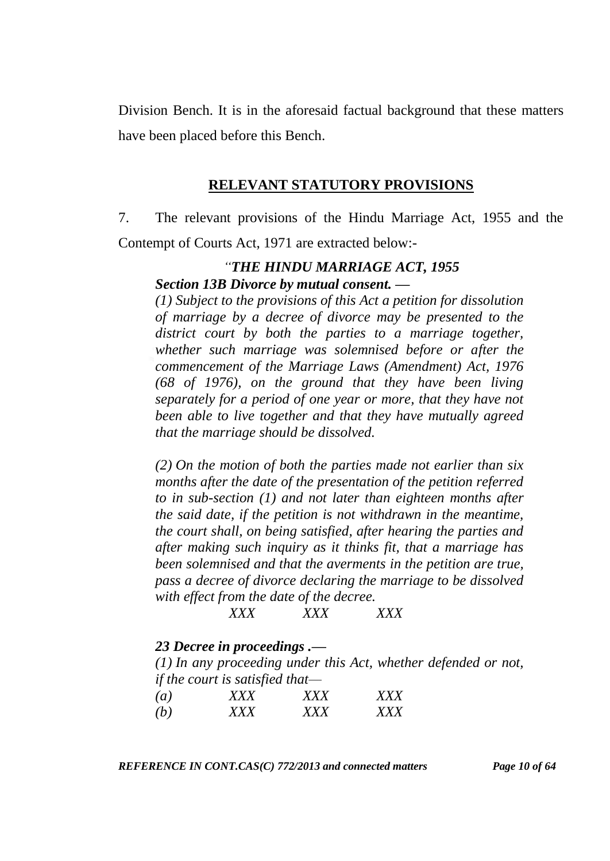Division Bench. It is in the aforesaid factual background that these matters have been placed before this Bench.

### **RELEVANT STATUTORY PROVISIONS**

7. The relevant provisions of the Hindu Marriage Act, 1955 and the Contempt of Courts Act, 1971 are extracted below:-

# *―THE HINDU MARRIAGE ACT, 1955 Section 13B Divorce by mutual consent. —*

*[\(1\)](https://indiankanoon.org/doc/371870/) Subject to the provisions of this Act a petition for dissolution of marriage by a decree of divorce may be presented to the district court by both the parties to a marriage together, whether such marriage was solemnised before or after the commencement of the Marriage Laws (Amendment) Act, 1976 (68 of 1976), on the ground that they have been living separately for a period of one year or more, that they have not been able to live together and that they have mutually agreed that the marriage should be dissolved.*

*[\(2\)](https://indiankanoon.org/doc/1108159/) On the motion of both the parties made not earlier than six months after the date of the presentation of the petition referred to in sub-section (1) and not later than eighteen months after the said date, if the petition is not withdrawn in the meantime, the court shall, on being satisfied, after hearing the parties and after making such inquiry as it thinks fit, that a marriage has been solemnised and that the averments in the petition are true, pass a decree of divorce declaring the marriage to be dissolved with effect from the date of the decree.*

*XXX XXX XXX* 

#### *23 Decree in proceedings .—*

*[\(1\)](https://indiankanoon.org/doc/1447949/) In any proceeding under this Act, whether defended or not, if the court is satisfied that—*

| $\left(a\right)$ | <b>YYY</b> | YYY | YYY |
|------------------|------------|-----|-----|
| (b)              | YYY        | YYY | YYY |

*REFERENCE IN CONT.CAS(C) 772/2013 and connected matters Page 10 of 64*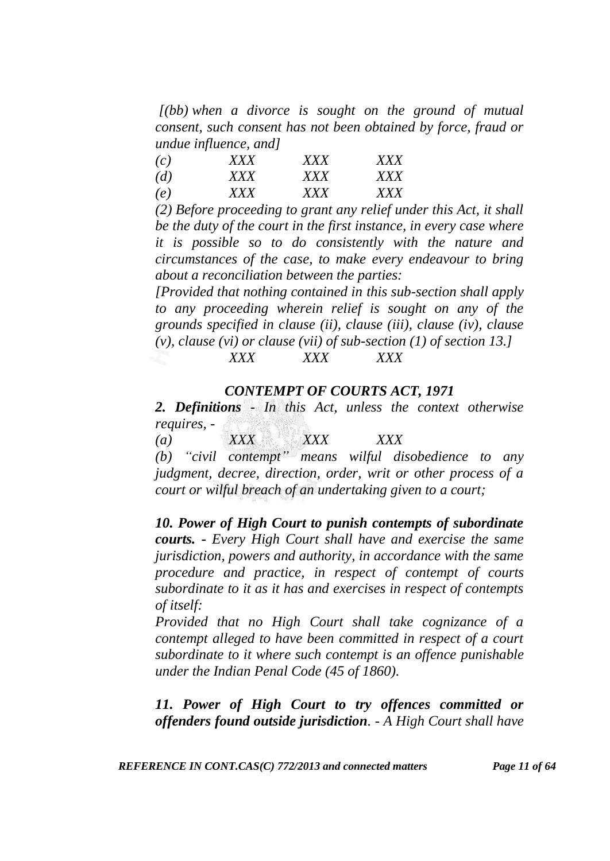*[\[\(bb\)](https://indiankanoon.org/doc/721867/) when a divorce is sought on the ground of mutual consent, such consent has not been obtained by force, fraud or undue influence, and]*

| (c) | <i>XXX</i> | <b>XXX</b> | <i>XXX</i> |
|-----|------------|------------|------------|
| (d) | <i>xxx</i> | <i>XXX</i> | <i>XXX</i> |
| (e) | <i>xxx</i> | <i>XXX</i> | <i>xxx</i> |

*[\(2\)](https://indiankanoon.org/doc/1464280/) Before proceeding to grant any relief under this Act, it shall be the duty of the court in the first instance, in every case where it is possible so to do consistently with the nature and circumstances of the case, to make every endeavour to bring about a reconciliation between the parties:*

*[Provided that nothing contained in this sub-section shall apply to any proceeding wherein relief is sought on any of the grounds specified in clause (ii), clause (iii), clause (iv), clause (v), clause (vi) or clause (vii) of sub-section (1) of section 13.] XXX XXX XXX* 

#### *CONTEMPT OF COURTS ACT, 1971*

*2. Definitions - In this Act, unless the context otherwise requires, -*

*(a) XXX XXX XXX*

*(b) ―civil contempt‖ means wilful disobedience to any judgment, decree, direction, order, writ or other process of a court or wilful breach of an undertaking given to a court;*

*10. Power of High Court to punish contempts of subordinate courts. - Every High Court shall have and exercise the same jurisdiction, powers and authority, in accordance with the same procedure and practice, in respect of contempt of courts subordinate to it as it has and exercises in respect of contempts of itself:* 

*Provided that no High Court shall take cognizance of a contempt alleged to have been committed in respect of a court subordinate to it where such contempt is an offence punishable under the Indian Penal Code (45 of 1860).*

*11. Power of High Court to try offences committed or offenders found outside jurisdiction. - A High Court shall have* 

*REFERENCE IN CONT.CAS(C) 772/2013 and connected matters Page 11 of 64*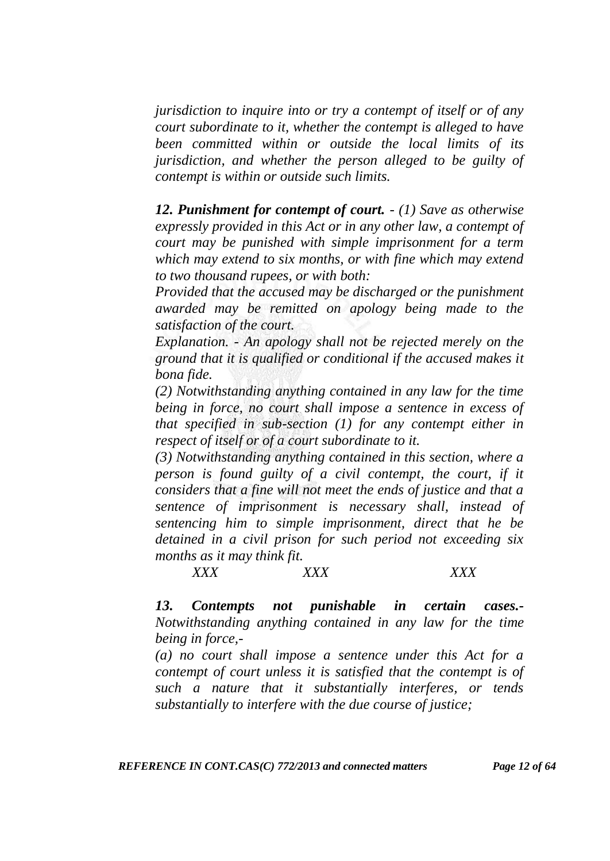*jurisdiction to inquire into or try a contempt of itself or of any court subordinate to it, whether the contempt is alleged to have been committed within or outside the local limits of its jurisdiction, and whether the person alleged to be guilty of contempt is within or outside such limits.* 

*12. Punishment for contempt of court. - (1) Save as otherwise expressly provided in this Act or in any other law, a contempt of court may be punished with simple imprisonment for a term which may extend to six months, or with fine which may extend to two thousand rupees, or with both:* 

*Provided that the accused may be discharged or the punishment awarded may be remitted on apology being made to the satisfaction of the court.* 

*Explanation. - An apology shall not be rejected merely on the ground that it is qualified or conditional if the accused makes it bona fide.* 

*(2) Notwithstanding anything contained in any law for the time being in force, no court shall impose a sentence in excess of that specified in sub-section (1) for any contempt either in respect of itself or of a court subordinate to it.* 

*(3) Notwithstanding anything contained in this section, where a person is found guilty of a civil contempt, the court, if it considers that a fine will not meet the ends of justice and that a sentence of imprisonment is necessary shall, instead of sentencing him to simple imprisonment, direct that he be detained in a civil prison for such period not exceeding six months as it may think fit.* 

*XXX XXX XXX*

*13. Contempts not punishable in certain cases.- Notwithstanding anything contained in any law for the time being in force,-*

*(a) no court shall impose a sentence under this Act for a contempt of court unless it is satisfied that the contempt is of such a nature that it substantially interferes, or tends substantially to interfere with the due course of justice;*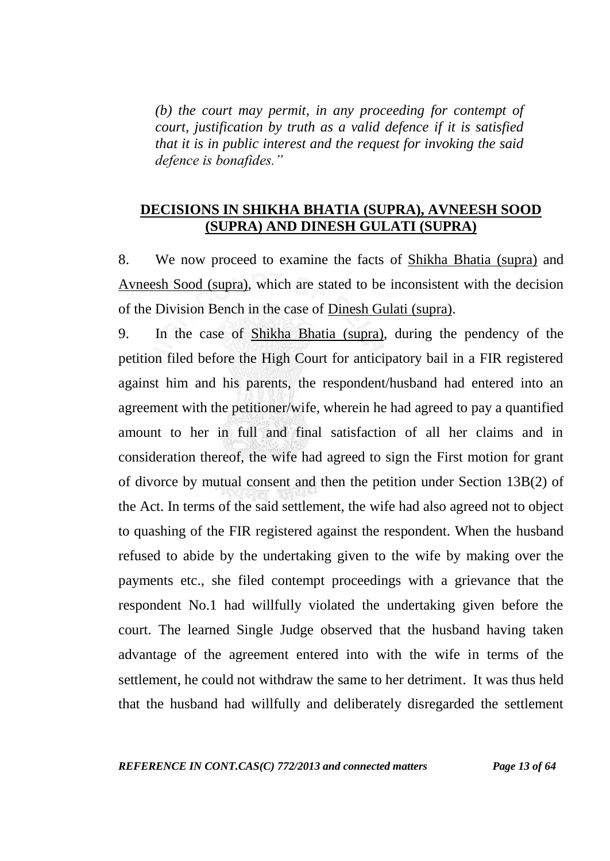*(b) the court may permit, in any proceeding for contempt of court, justification by truth as a valid defence if it is satisfied that it is in public interest and the request for invoking the said defence is bonafides.‖*

## **DECISIONS IN SHIKHA BHATIA (SUPRA), AVNEESH SOOD (SUPRA) AND DINESH GULATI (SUPRA)**

8. We now proceed to examine the facts of Shikha Bhatia (supra) and Avneesh Sood (supra), which are stated to be inconsistent with the decision of the Division Bench in the case of Dinesh Gulati (supra).

9. In the case of Shikha Bhatia (supra), during the pendency of the petition filed before the High Court for anticipatory bail in a FIR registered against him and his parents, the respondent/husband had entered into an agreement with the petitioner/wife, wherein he had agreed to pay a quantified amount to her in full and final satisfaction of all her claims and in consideration thereof, the wife had agreed to sign the First motion for grant of divorce by mutual consent and then the petition under Section 13B(2) of the Act. In terms of the said settlement, the wife had also agreed not to object to quashing of the FIR registered against the respondent. When the husband refused to abide by the undertaking given to the wife by making over the payments etc., she filed contempt proceedings with a grievance that the respondent No.1 had willfully violated the undertaking given before the court. The learned Single Judge observed that the husband having taken advantage of the agreement entered into with the wife in terms of the settlement, he could not withdraw the same to her detriment. It was thus held that the husband had willfully and deliberately disregarded the settlement

*REFERENCE IN CONT.CAS(C) 772/2013 and connected matters Page 13 of 64*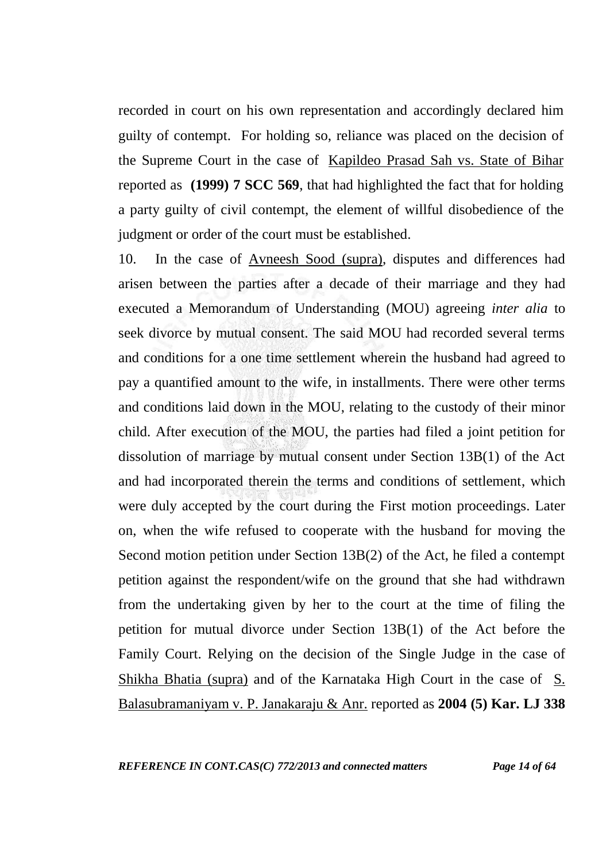recorded in court on his own representation and accordingly declared him guilty of contempt. For holding so, reliance was placed on the decision of the Supreme Court in the case of [Kapildeo Prasad Sah vs. State of Bihar](https://www.casemine.com/judgement/in/5609ad5fe4b0149711411365) reported as **(1999) 7 SCC 569**, that had highlighted the fact that for holding a party guilty of civil contempt, the element of willful disobedience of the judgment or order of the court must be established.

10. In the case of Avneesh Sood (supra), disputes and differences had arisen between the parties after a decade of their marriage and they had executed a Memorandum of Understanding (MOU) agreeing *inter alia* to seek divorce by mutual consent. The said MOU had recorded several terms and conditions for a one time settlement wherein the husband had agreed to pay a quantified amount to the wife, in installments. There were other terms and conditions laid down in the MOU, relating to the custody of their minor child. After execution of the MOU, the parties had filed a joint petition for dissolution of marriage by mutual consent under Section 13B(1) of the Act and had incorporated therein the terms and conditions of settlement, which were duly accepted by the court during the First motion proceedings. Later on, when the wife refused to cooperate with the husband for moving the Second motion petition under Section 13B(2) of the Act, he filed a contempt petition against the respondent/wife on the ground that she had withdrawn from the undertaking given by her to the court at the time of filing the petition for mutual divorce under Section 13B(1) of the Act before the Family Court. Relying on the decision of the Single Judge in the case of Shikha Bhatia (supra) and of the Karnataka High Court in the case of S. Balasubramaniyam v. P. Janakaraju & Anr. reported as **2004 (5) Kar. LJ 338** 

*REFERENCE IN CONT.CAS(C) 772/2013 and connected matters Page 14 of 64*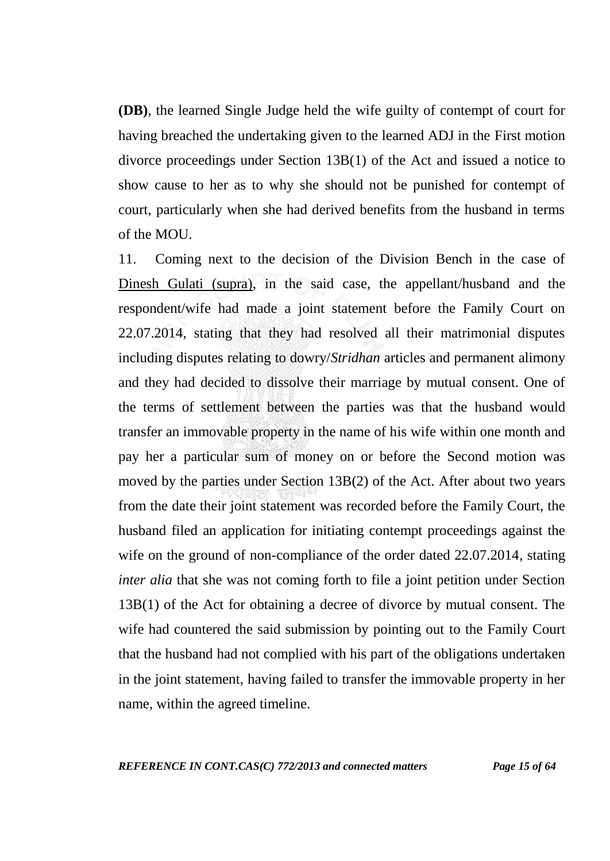**(DB)**, the learned Single Judge held the wife guilty of contempt of court for having breached the undertaking given to the learned ADJ in the First motion divorce proceedings under Section 13B(1) of the Act and issued a notice to show cause to her as to why she should not be punished for contempt of court, particularly when she had derived benefits from the husband in terms of the MOU.

11. Coming next to the decision of the Division Bench in the case of Dinesh Gulati (supra), in the said case, the appellant/husband and the respondent/wife had made a joint statement before the Family Court on 22.07.2014, stating that they had resolved all their matrimonial disputes including disputes relating to dowry/*Stridhan* articles and permanent alimony and they had decided to dissolve their marriage by mutual consent. One of the terms of settlement between the parties was that the husband would transfer an immovable property in the name of his wife within one month and pay her a particular sum of money on or before the Second motion was moved by the parties under Section 13B(2) of the Act. After about two years from the date their joint statement was recorded before the Family Court, the husband filed an application for initiating contempt proceedings against the wife on the ground of non-compliance of the order dated 22.07.2014, stating *inter alia* that she was not coming forth to file a joint petition under Section 13B(1) of the Act for obtaining a decree of divorce by mutual consent. The wife had countered the said submission by pointing out to the Family Court that the husband had not complied with his part of the obligations undertaken in the joint statement, having failed to transfer the immovable property in her name, within the agreed timeline.

*REFERENCE IN CONT.CAS(C) 772/2013 and connected matters Page 15 of 64*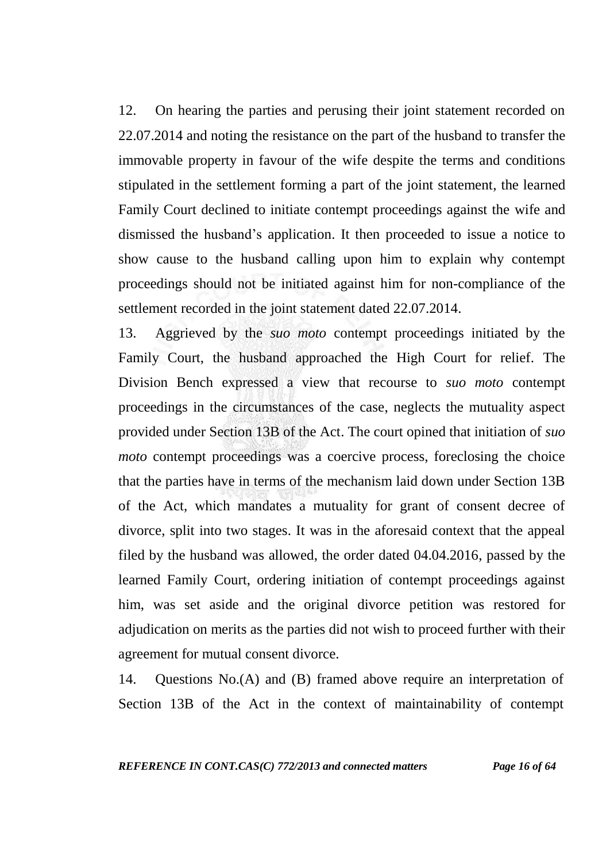12. On hearing the parties and perusing their joint statement recorded on 22.07.2014 and noting the resistance on the part of the husband to transfer the immovable property in favour of the wife despite the terms and conditions stipulated in the settlement forming a part of the joint statement, the learned Family Court declined to initiate contempt proceedings against the wife and dismissed the husband"s application. It then proceeded to issue a notice to show cause to the husband calling upon him to explain why contempt proceedings should not be initiated against him for non-compliance of the settlement recorded in the joint statement dated 22.07.2014.

13. Aggrieved by the *suo moto* contempt proceedings initiated by the Family Court, the husband approached the High Court for relief. The Division Bench expressed a view that recourse to *suo moto* contempt proceedings in the circumstances of the case, neglects the mutuality aspect provided under Section 13B of the Act. The court opined that initiation of *suo moto* contempt proceedings was a coercive process, foreclosing the choice that the parties have in terms of the mechanism laid down under Section 13B of the Act, which mandates a mutuality for grant of consent decree of divorce, split into two stages. It was in the aforesaid context that the appeal filed by the husband was allowed, the order dated 04.04.2016, passed by the learned Family Court, ordering initiation of contempt proceedings against him, was set aside and the original divorce petition was restored for adjudication on merits as the parties did not wish to proceed further with their agreement for mutual consent divorce.

14. Questions No.(A) and (B) framed above require an interpretation of Section 13B of the Act in the context of maintainability of contempt

*REFERENCE IN CONT.CAS(C) 772/2013 and connected matters Page 16 of 64*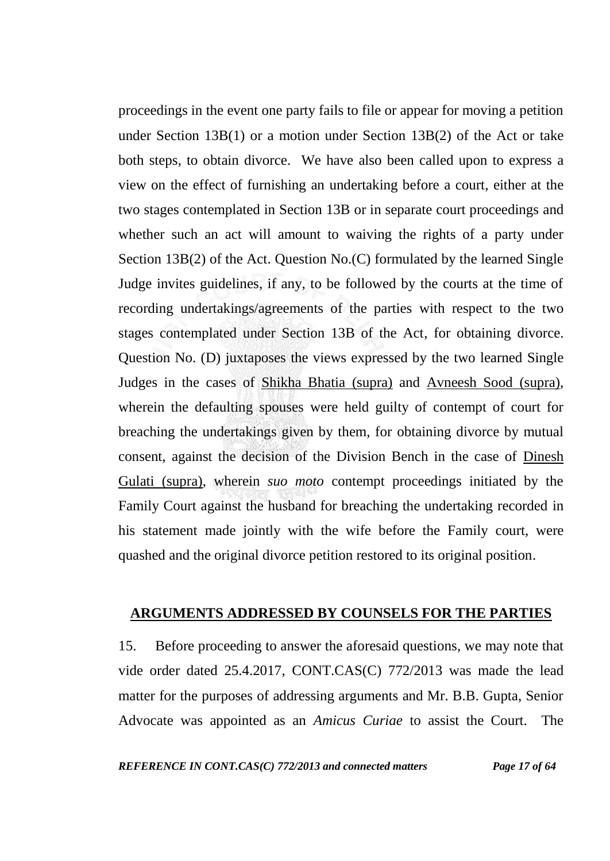proceedings in the event one party fails to file or appear for moving a petition under Section 13B(1) or a motion under Section 13B(2) of the Act or take both steps, to obtain divorce. We have also been called upon to express a view on the effect of furnishing an undertaking before a court, either at the two stages contemplated in Section 13B or in separate court proceedings and whether such an act will amount to waiving the rights of a party under Section 13B(2) of the Act. Question No.(C) formulated by the learned Single Judge invites guidelines, if any, to be followed by the courts at the time of recording undertakings/agreements of the parties with respect to the two stages contemplated under Section 13B of the Act, for obtaining divorce. Question No. (D) juxtaposes the views expressed by the two learned Single Judges in the cases of Shikha Bhatia (supra) and Avneesh Sood (supra), wherein the defaulting spouses were held guilty of contempt of court for breaching the undertakings given by them, for obtaining divorce by mutual consent, against the decision of the Division Bench in the case of Dinesh Gulati (supra), wherein *suo moto* contempt proceedings initiated by the Family Court against the husband for breaching the undertaking recorded in his statement made jointly with the wife before the Family court, were quashed and the original divorce petition restored to its original position.

#### **ARGUMENTS ADDRESSED BY COUNSELS FOR THE PARTIES**

15. Before proceeding to answer the aforesaid questions, we may note that vide order dated 25.4.2017, CONT.CAS(C) 772/2013 was made the lead matter for the purposes of addressing arguments and Mr. B.B. Gupta, Senior Advocate was appointed as an *Amicus Curiae* to assist the Court. The

*REFERENCE IN CONT.CAS(C) 772/2013 and connected matters Page 17 of 64*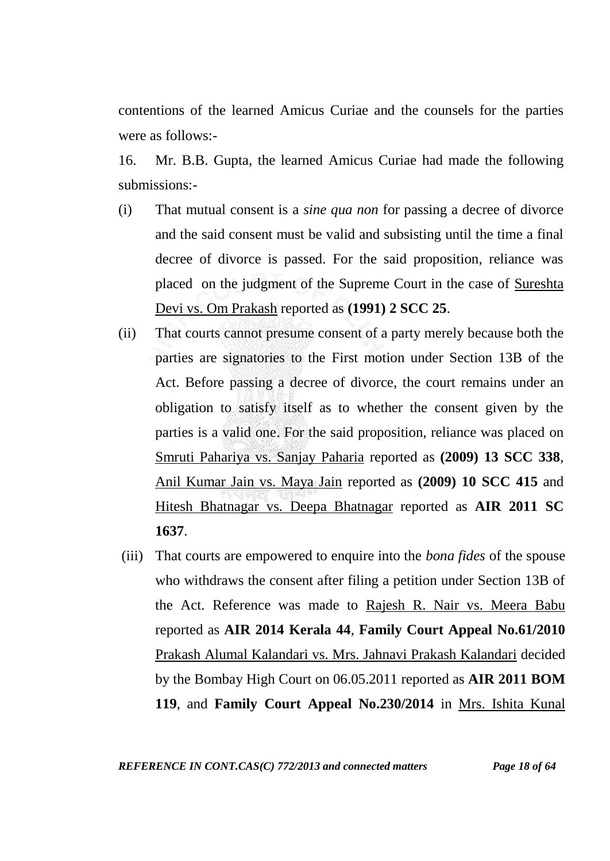contentions of the learned Amicus Curiae and the counsels for the parties were as follows:-

16. Mr. B.B. Gupta, the learned Amicus Curiae had made the following submissions:-

- (i) That mutual consent is a *sine qua non* for passing a decree of divorce and the said consent must be valid and subsisting until the time a final decree of divorce is passed. For the said proposition, reliance was placed on the judgment of the Supreme Court in the case of Sureshta Devi vs. Om Prakash reported as **(1991) 2 SCC 25**.
- (ii) That courts cannot presume consent of a party merely because both the parties are signatories to the First motion under Section 13B of the Act. Before passing a decree of divorce, the court remains under an obligation to satisfy itself as to whether the consent given by the parties is a valid one. For the said proposition, reliance was placed on Smruti Pahariya vs. Sanjay Paharia reported as **(2009) 13 SCC 338**, Anil Kumar Jain vs. Maya Jain reported as **(2009) 10 SCC 415** and Hitesh Bhatnagar vs. Deepa Bhatnagar reported as **AIR 2011 SC 1637**.
- (iii) That courts are empowered to enquire into the *bona fides* of the spouse who withdraws the consent after filing a petition under Section 13B of the Act. Reference was made to Rajesh R. Nair vs. Meera Babu reported as **AIR 2014 Kerala 44**, **Family Court Appeal No.61/2010**  Prakash Alumal Kalandari vs. Mrs. Jahnavi Prakash Kalandari decided by the Bombay High Court on 06.05.2011 reported as **AIR 2011 BOM 119**, and **Family Court Appeal No.230/2014** in Mrs. Ishita Kunal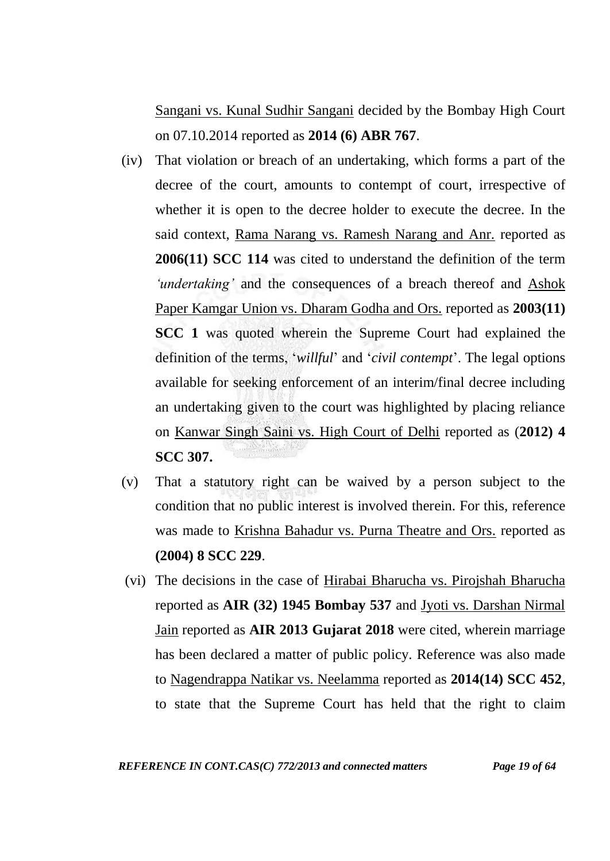Sangani vs. Kunal Sudhir Sangani decided by the Bombay High Court on 07.10.2014 reported as **2014 (6) ABR 767**.

- (iv) That violation or breach of an undertaking, which forms a part of the decree of the court, amounts to contempt of court, irrespective of whether it is open to the decree holder to execute the decree. In the said context, Rama Narang vs. Ramesh Narang and Anr. reported as **2006(11) SCC 114** was cited to understand the definition of the term *‗undertaking'* and the consequences of a breach thereof and Ashok Paper Kamgar Union vs. Dharam Godha and Ors. reported as **2003(11) SCC 1** was quoted wherein the Supreme Court had explained the definition of the terms, "*willful*" and "*civil contempt*". The legal options available for seeking enforcement of an interim/final decree including an undertaking given to the court was highlighted by placing reliance on Kanwar Singh Saini vs. High Court of Delhi reported as (**2012) 4 SCC 307.**
- (v) That a statutory right can be waived by a person subject to the condition that no public interest is involved therein. For this, reference was made to Krishna Bahadur vs. Purna Theatre and Ors. reported as **(2004) 8 SCC 229**.
- (vi) The decisions in the case of Hirabai Bharucha vs. Pirojshah Bharucha reported as **AIR (32) 1945 Bombay 537** and Jyoti vs. Darshan Nirmal Jain reported as **AIR 2013 Gujarat 2018** were cited, wherein marriage has been declared a matter of public policy. Reference was also made to Nagendrappa Natikar vs. Neelamma reported as **2014(14) SCC 452**, to state that the Supreme Court has held that the right to claim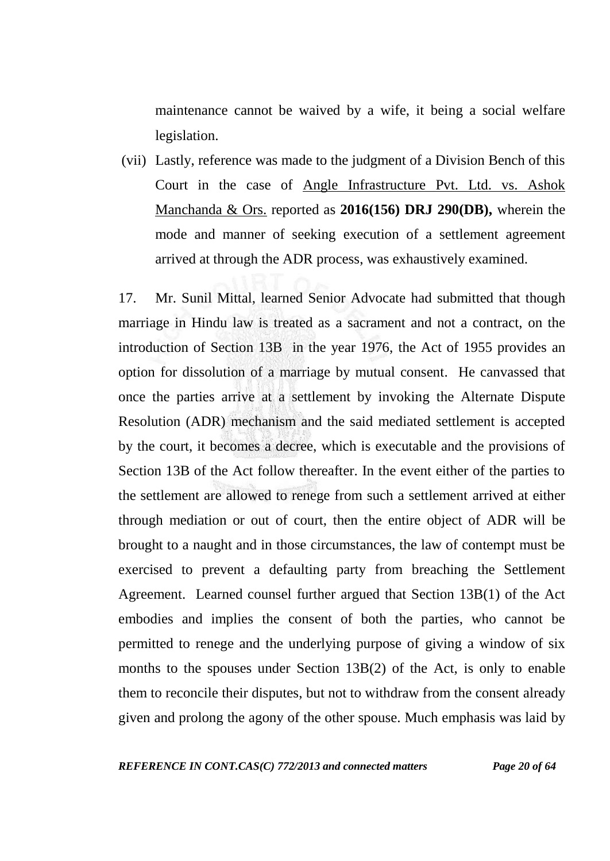maintenance cannot be waived by a wife, it being a social welfare legislation.

(vii) Lastly, reference was made to the judgment of a Division Bench of this Court in the case of Angle Infrastructure Pvt. Ltd. vs. Ashok Manchanda & Ors. reported as **2016(156) DRJ 290(DB),** wherein the mode and manner of seeking execution of a settlement agreement arrived at through the ADR process, was exhaustively examined.

17. Mr. Sunil Mittal, learned Senior Advocate had submitted that though marriage in Hindu law is treated as a sacrament and not a contract, on the introduction of Section 13B in the year 1976, the Act of 1955 provides an option for dissolution of a marriage by mutual consent. He canvassed that once the parties arrive at a settlement by invoking the Alternate Dispute Resolution (ADR) mechanism and the said mediated settlement is accepted by the court, it becomes a decree, which is executable and the provisions of Section 13B of the Act follow thereafter. In the event either of the parties to the settlement are allowed to renege from such a settlement arrived at either through mediation or out of court, then the entire object of ADR will be brought to a naught and in those circumstances, the law of contempt must be exercised to prevent a defaulting party from breaching the Settlement Agreement. Learned counsel further argued that Section 13B(1) of the Act embodies and implies the consent of both the parties, who cannot be permitted to renege and the underlying purpose of giving a window of six months to the spouses under Section 13B(2) of the Act, is only to enable them to reconcile their disputes, but not to withdraw from the consent already given and prolong the agony of the other spouse. Much emphasis was laid by

*REFERENCE IN CONT.CAS(C) 772/2013 and connected matters Page 20 of 64*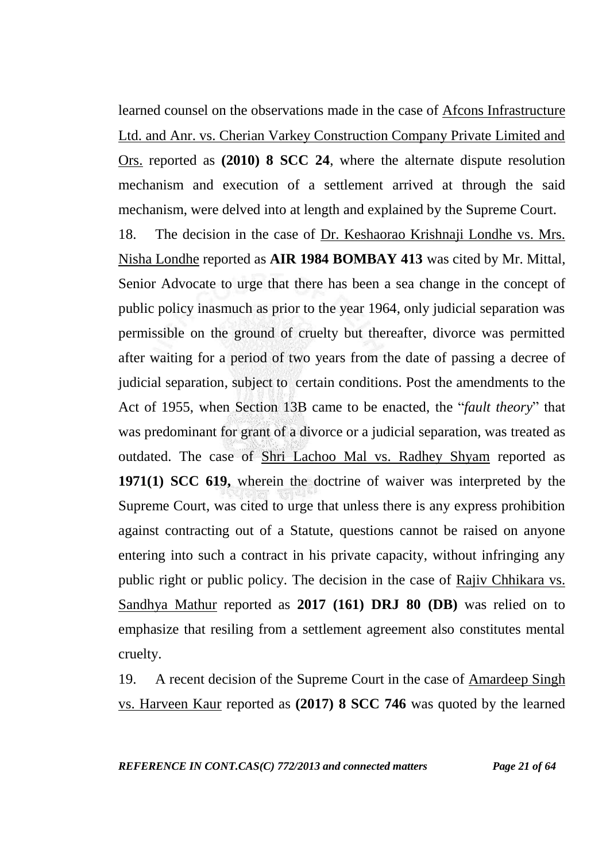learned counsel on the observations made in the case of Afcons Infrastructure Ltd. and Anr. vs. Cherian Varkey Construction Company Private Limited and Ors. reported as **(2010) 8 SCC 24**, where the alternate dispute resolution mechanism and execution of a settlement arrived at through the said mechanism, were delved into at length and explained by the Supreme Court.

18. The decision in the case of Dr. Keshaorao Krishnaji Londhe vs. Mrs. Nisha Londhe reported as **AIR 1984 BOMBAY 413** was cited by Mr. Mittal, Senior Advocate to urge that there has been a sea change in the concept of public policy inasmuch as prior to the year 1964, only judicial separation was permissible on the ground of cruelty but thereafter, divorce was permitted after waiting for a period of two years from the date of passing a decree of judicial separation, subject to certain conditions. Post the amendments to the Act of 1955, when Section 13B came to be enacted, the "*fault theory*" that was predominant for grant of a divorce or a judicial separation, was treated as outdated. The case of Shri Lachoo Mal vs. Radhey Shyam reported as **1971(1) SCC 619,** wherein the doctrine of waiver was interpreted by the Supreme Court, was cited to urge that unless there is any express prohibition against contracting out of a Statute, questions cannot be raised on anyone entering into such a contract in his private capacity, without infringing any public right or public policy. The decision in the case of Rajiv Chhikara vs. Sandhya Mathur reported as **2017 (161) DRJ 80 (DB)** was relied on to emphasize that resiling from a settlement agreement also constitutes mental cruelty.

19. A recent decision of the Supreme Court in the case of Amardeep Singh vs. Harveen Kaur reported as **(2017) 8 SCC 746** was quoted by the learned

*REFERENCE IN CONT.CAS(C) 772/2013 and connected matters Page 21 of 64*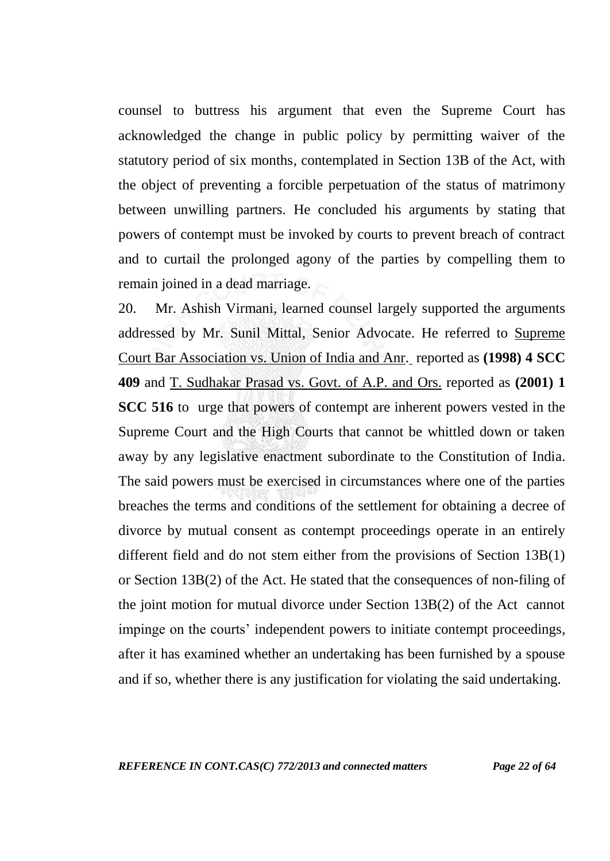counsel to buttress his argument that even the Supreme Court has acknowledged the change in public policy by permitting waiver of the statutory period of six months, contemplated in Section 13B of the Act, with the object of preventing a forcible perpetuation of the status of matrimony between unwilling partners. He concluded his arguments by stating that powers of contempt must be invoked by courts to prevent breach of contract and to curtail the prolonged agony of the parties by compelling them to remain joined in a dead marriage.

20. Mr. Ashish Virmani, learned counsel largely supported the arguments addressed by Mr. Sunil Mittal, Senior Advocate. He referred to Supreme Court Bar Association vs. Union of India and Anr. reported as **(1998) 4 SCC 409** and T. Sudhakar Prasad vs. Govt. of A.P. and Ors. reported as **(2001) 1 SCC 516** to urge that powers of contempt are inherent powers vested in the Supreme Court and the High Courts that cannot be whittled down or taken away by any legislative enactment subordinate to the Constitution of India. The said powers must be exercised in circumstances where one of the parties breaches the terms and conditions of the settlement for obtaining a decree of divorce by mutual consent as contempt proceedings operate in an entirely different field and do not stem either from the provisions of Section 13B(1) or Section 13B(2) of the Act. He stated that the consequences of non-filing of the joint motion for mutual divorce under Section 13B(2) of the Act cannot impinge on the courts' independent powers to initiate contempt proceedings, after it has examined whether an undertaking has been furnished by a spouse and if so, whether there is any justification for violating the said undertaking.

*REFERENCE IN CONT.CAS(C) 772/2013 and connected matters Page 22 of 64*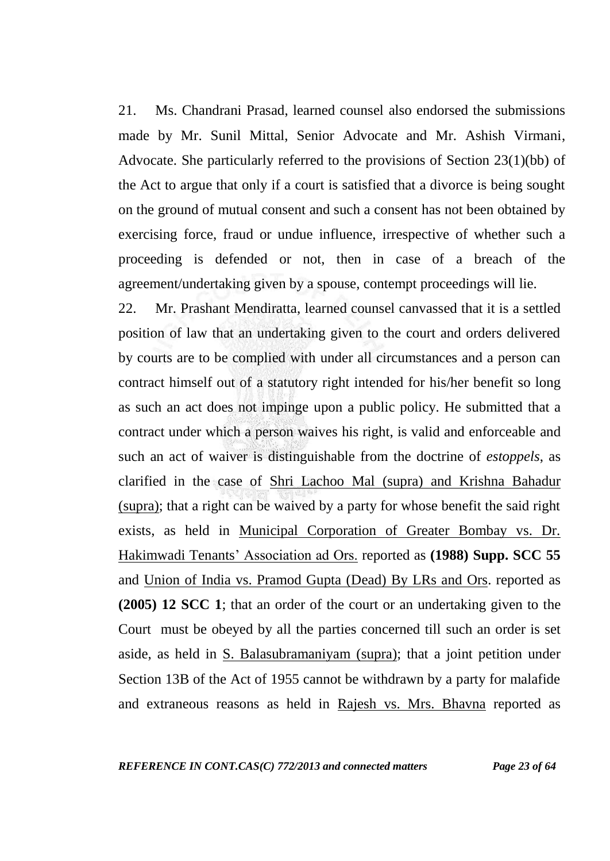21. Ms. Chandrani Prasad, learned counsel also endorsed the submissions made by Mr. Sunil Mittal, Senior Advocate and Mr. Ashish Virmani, Advocate. She particularly referred to the provisions of Section 23(1)(bb) of the Act to argue that only if a court is satisfied that a divorce is being sought on the ground of mutual consent and such a consent has not been obtained by exercising force, fraud or undue influence, irrespective of whether such a proceeding is defended or not, then in case of a breach of the agreement/undertaking given by a spouse, contempt proceedings will lie.

22. Mr. Prashant Mendiratta, learned counsel canvassed that it is a settled position of law that an undertaking given to the court and orders delivered by courts are to be complied with under all circumstances and a person can contract himself out of a statutory right intended for his/her benefit so long as such an act does not impinge upon a public policy. He submitted that a contract under which a person waives his right, is valid and enforceable and such an act of waiver is distinguishable from the doctrine of *estoppels*, as clarified in the case of Shri Lachoo Mal (supra) and Krishna Bahadur (supra); that a right can be waived by a party for whose benefit the said right exists, as held in Municipal Corporation of Greater Bombay vs. Dr. Hakimwadi Tenants" Association ad Ors. reported as **(1988) Supp. SCC 55** and Union of India vs. Pramod Gupta (Dead) By LRs and Ors. reported as **(2005) 12 SCC 1**; that an order of the court or an undertaking given to the Court must be obeyed by all the parties concerned till such an order is set aside, as held in S. Balasubramaniyam (supra); that a joint petition under Section 13B of the Act of 1955 cannot be withdrawn by a party for malafide and extraneous reasons as held in Rajesh vs. Mrs. Bhavna reported as

*REFERENCE IN CONT.CAS(C) 772/2013 and connected matters Page 23 of 64*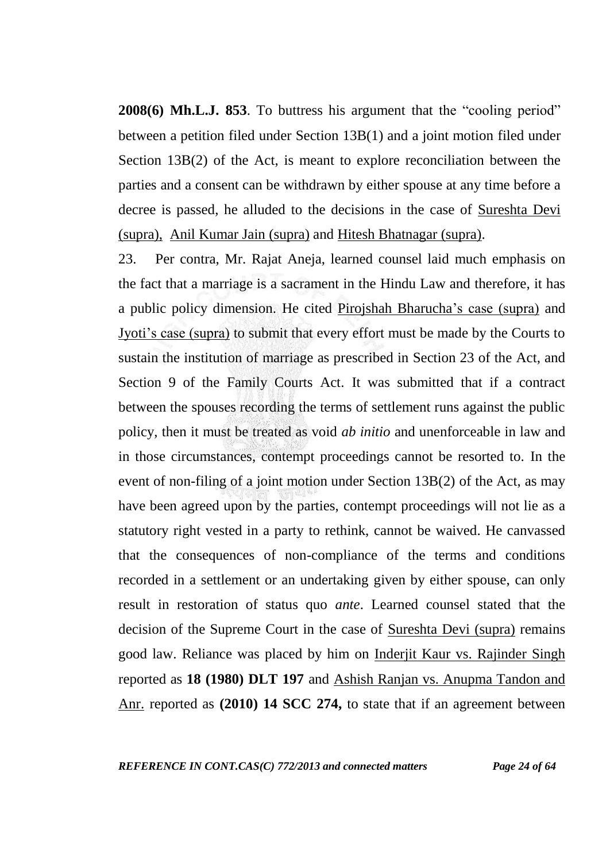**2008(6) Mh.L.J. 853**. To buttress his argument that the "cooling period" between a petition filed under Section 13B(1) and a joint motion filed under Section 13B(2) of the Act, is meant to explore reconciliation between the parties and a consent can be withdrawn by either spouse at any time before a decree is passed, he alluded to the decisions in the case of Sureshta Devi (supra), Anil Kumar Jain (supra) and Hitesh Bhatnagar (supra).

23. Per contra, Mr. Rajat Aneja, learned counsel laid much emphasis on the fact that a marriage is a sacrament in the Hindu Law and therefore, it has a public policy dimension. He cited Pirojshah Bharucha"s case (supra) and Jyoti"s case (supra) to submit that every effort must be made by the Courts to sustain the institution of marriage as prescribed in Section 23 of the Act, and Section 9 of the Family Courts Act. It was submitted that if a contract between the spouses recording the terms of settlement runs against the public policy, then it must be treated as void *ab initio* and unenforceable in law and in those circumstances, contempt proceedings cannot be resorted to. In the event of non-filing of a joint motion under Section 13B(2) of the Act, as may have been agreed upon by the parties, contempt proceedings will not lie as a statutory right vested in a party to rethink, cannot be waived. He canvassed that the consequences of non-compliance of the terms and conditions recorded in a settlement or an undertaking given by either spouse, can only result in restoration of status quo *ante*. Learned counsel stated that the decision of the Supreme Court in the case of Sureshta Devi (supra) remains good law. Reliance was placed by him on Inderjit Kaur vs. Rajinder Singh reported as **18 (1980) DLT 197** and Ashish Ranjan vs. Anupma Tandon and Anr. reported as **(2010) 14 SCC 274,** to state that if an agreement between

*REFERENCE IN CONT.CAS(C) 772/2013 and connected matters Page 24 of 64*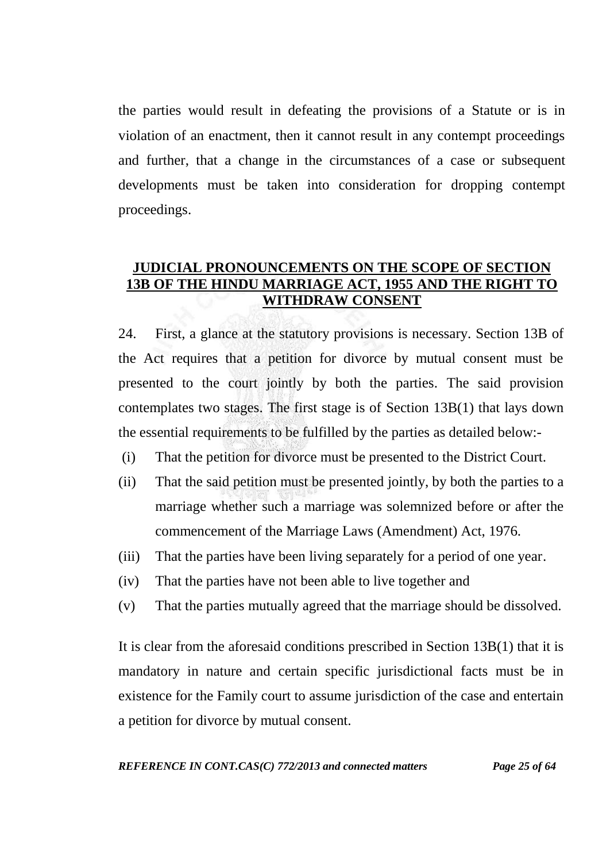the parties would result in defeating the provisions of a Statute or is in violation of an enactment, then it cannot result in any contempt proceedings and further, that a change in the circumstances of a case or subsequent developments must be taken into consideration for dropping contempt proceedings.

## **JUDICIAL PRONOUNCEMENTS ON THE SCOPE OF SECTION 13B OF THE HINDU MARRIAGE ACT, 1955 AND THE RIGHT TO WITHDRAW CONSENT**

24. First, a glance at the statutory provisions is necessary. Section 13B of the Act requires that a petition for divorce by mutual consent must be presented to the court jointly by both the parties. The said provision contemplates two stages. The first stage is of Section 13B(1) that lays down the essential requirements to be fulfilled by the parties as detailed below:-

- (i) That the petition for divorce must be presented to the District Court.
- (ii) That the said petition must be presented jointly, by both the parties to a marriage whether such a marriage was solemnized before or after the commencement of the Marriage Laws (Amendment) Act, 1976.
- (iii) That the parties have been living separately for a period of one year.
- (iv) That the parties have not been able to live together and
- (v) That the parties mutually agreed that the marriage should be dissolved.

It is clear from the aforesaid conditions prescribed in Section 13B(1) that it is mandatory in nature and certain specific jurisdictional facts must be in existence for the Family court to assume jurisdiction of the case and entertain a petition for divorce by mutual consent.

*REFERENCE IN CONT.CAS(C) 772/2013 and connected matters Page 25 of 64*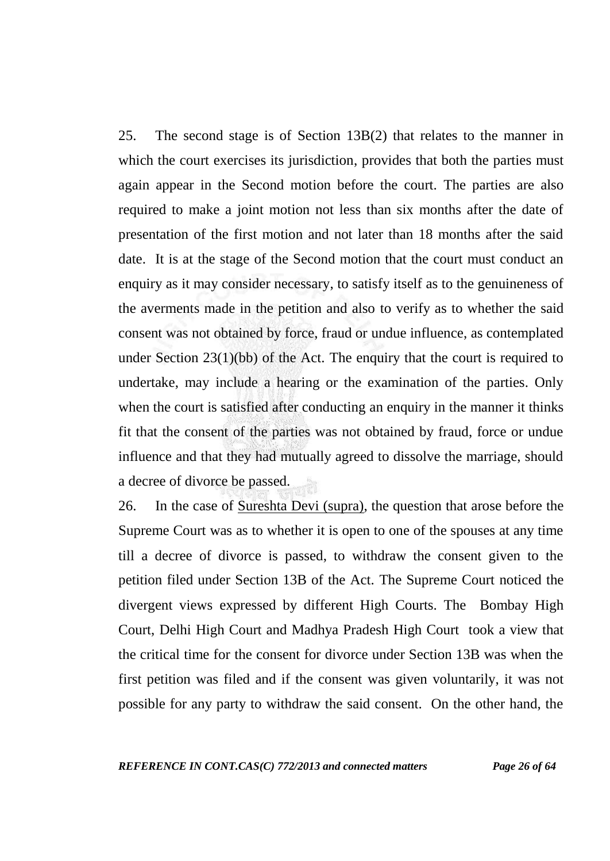25. The second stage is of Section 13B(2) that relates to the manner in which the court exercises its jurisdiction, provides that both the parties must again appear in the Second motion before the court. The parties are also required to make a joint motion not less than six months after the date of presentation of the first motion and not later than 18 months after the said date. It is at the stage of the Second motion that the court must conduct an enquiry as it may consider necessary, to satisfy itself as to the genuineness of the averments made in the petition and also to verify as to whether the said consent was not obtained by force, fraud or undue influence, as contemplated under Section 23(1)(bb) of the Act. The enquiry that the court is required to undertake, may include a hearing or the examination of the parties. Only when the court is satisfied after conducting an enquiry in the manner it thinks fit that the consent of the parties was not obtained by fraud, force or undue influence and that they had mutually agreed to dissolve the marriage, should a decree of divorce be passed.

26. In the case of Sureshta Devi (supra), the question that arose before the Supreme Court was as to whether it is open to one of the spouses at any time till a decree of divorce is passed, to withdraw the consent given to the petition filed under Section 13B of the Act. The Supreme Court noticed the divergent views expressed by different High Courts. The Bombay High Court, Delhi High Court and Madhya Pradesh High Court took a view that the critical time for the consent for divorce under Section 13B was when the first petition was filed and if the consent was given voluntarily, it was not possible for any party to withdraw the said consent. On the other hand, the

*REFERENCE IN CONT.CAS(C) 772/2013 and connected matters Page 26 of 64*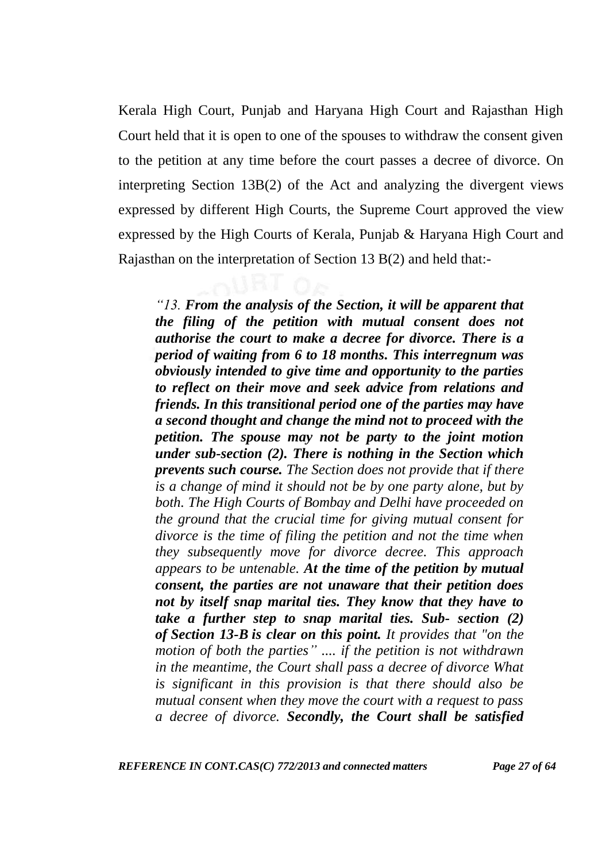Kerala High Court, Punjab and Haryana High Court and Rajasthan High Court held that it is open to one of the spouses to withdraw the consent given to the petition at any time before the court passes a decree of divorce. On interpreting Section 13B(2) of the Act and analyzing the divergent views expressed by different High Courts, the Supreme Court approved the view expressed by the High Courts of Kerala, Punjab & Haryana High Court and Rajasthan on the interpretation of Section 13 B(2) and held that:-

*―13. From the analysis of the Section, it will be apparent that the filing of the petition with mutual consent does not authorise the court to make a decree for divorce. There is a period of waiting from 6 to 18 months. This interregnum was obviously intended to give time and opportunity to the parties to reflect on their move and seek advice from relations and friends. In this transitional period one of the parties may have a second thought and change the mind not to proceed with the petition. The spouse may not be party to the joint motion under sub-section (2). There is nothing in the Section which prevents such course. The Section does not provide that if there is a change of mind it should not be by one party alone, but by both. The High Courts of Bombay and Delhi have proceeded on the ground that the crucial time for giving mutual consent for divorce is the time of filing the petition and not the time when they subsequently move for divorce decree. This approach appears to be untenable. At the time of the petition by mutual consent, the parties are not unaware that their petition does not by itself snap marital ties. They know that they have to take a further step to snap marital ties. Sub- section (2) of [Section 13-B](https://indiankanoon.org/doc/439618/) is clear on this point. It provides that "on the motion of both the parties‖ .... if the petition is not withdrawn in the meantime, the Court shall pass a decree of divorce What is significant in this provision is that there should also be mutual consent when they move the court with a request to pass a decree of divorce. Secondly, the Court shall be satisfied*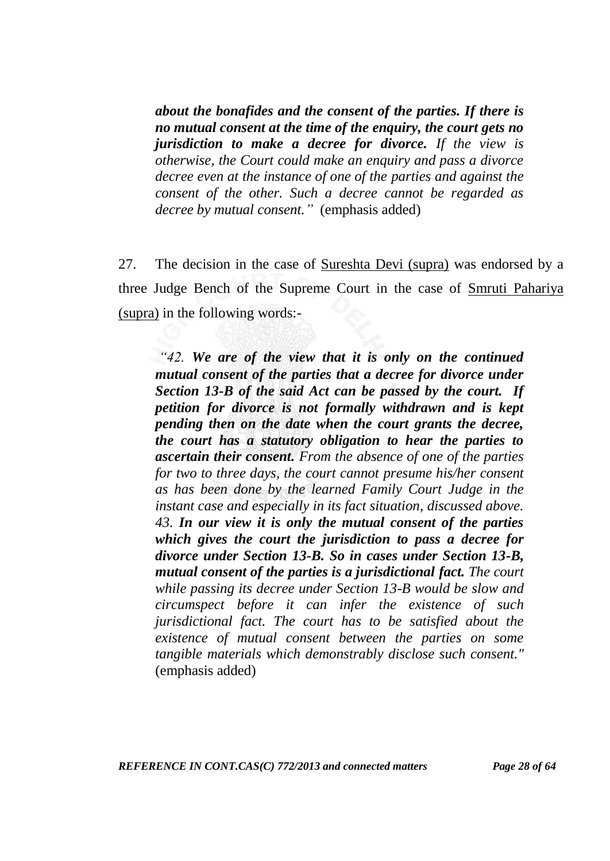*about the bonafides and the consent of the parties. If there is no mutual consent at the time of the enquiry, the court gets no jurisdiction to make a decree for divorce. If the view is otherwise, the Court could make an enquiry and pass a divorce decree even at the instance of one of the parties and against the consent of the other. Such a decree cannot be regarded as decree by mutual consent.‖* (emphasis added)

27. The decision in the case of Sureshta Devi (supra) was endorsed by a three Judge Bench of the Supreme Court in the case of Smruti Pahariya (supra) in the following words:-

*―42. We are of the view that it is only on the continued mutual consent of the parties that a decree for divorce under Section 13-B of the said Act can be passed by the court. If petition for divorce is not formally withdrawn and is kept pending then on the date when the court grants the decree, the court has a statutory obligation to hear the parties to ascertain their consent. From the absence of one of the parties for two to three days, the court cannot presume his/her consent as has been done by the learned Family Court Judge in the instant case and especially in its fact situation, discussed above. 43. In our view it is only the mutual consent of the parties which gives the court the jurisdiction to pass a decree for divorce under Section 13-B. So in cases under Section 13-B, mutual consent of the parties is a jurisdictional fact. The court while passing its decree under Section 13-B would be slow and circumspect before it can infer the existence of such jurisdictional fact. The court has to be satisfied about the existence of mutual consent between the parties on some tangible materials which demonstrably disclose such consent."* (emphasis added)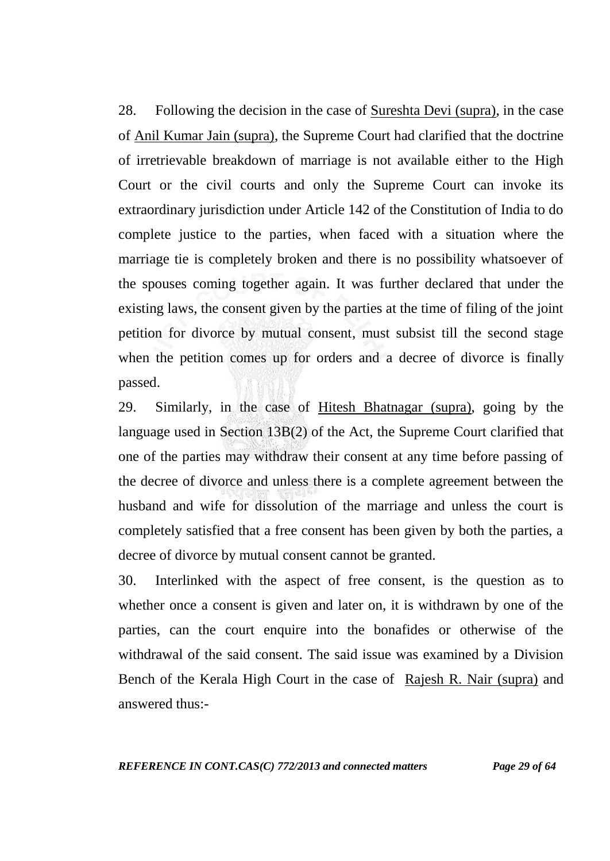28. Following the decision in the case of Sureshta Devi (supra), in the case of Anil Kumar Jain (supra), the Supreme Court had clarified that the doctrine of irretrievable breakdown of marriage is not available either to the High Court or the civil courts and only the Supreme Court can invoke its extraordinary jurisdiction under Article 142 of the Constitution of India to do complete justice to the parties, when faced with a situation where the marriage tie is completely broken and there is no possibility whatsoever of the spouses coming together again. It was further declared that under the existing laws, the consent given by the parties at the time of filing of the joint petition for divorce by mutual consent, must subsist till the second stage when the petition comes up for orders and a decree of divorce is finally passed.

29. Similarly, in the case of Hitesh Bhatnagar (supra), going by the language used in Section 13B(2) of the Act, the Supreme Court clarified that one of the parties may withdraw their consent at any time before passing of the decree of divorce and unless there is a complete agreement between the husband and wife for dissolution of the marriage and unless the court is completely satisfied that a free consent has been given by both the parties, a decree of divorce by mutual consent cannot be granted.

30. Interlinked with the aspect of free consent, is the question as to whether once a consent is given and later on, it is withdrawn by one of the parties, can the court enquire into the bonafides or otherwise of the withdrawal of the said consent. The said issue was examined by a Division Bench of the Kerala High Court in the case of Rajesh R. Nair (supra) and answered thus:-

*REFERENCE IN CONT.CAS(C) 772/2013 and connected matters Page 29 of 64*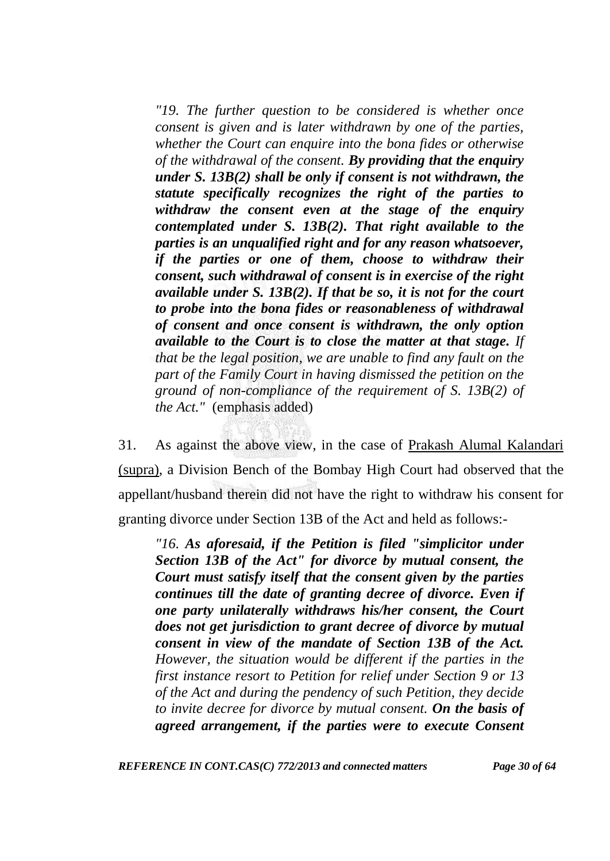*"19. The further question to be considered is whether once consent is given and is later withdrawn by one of the parties, whether the Court can enquire into the bona fides or otherwise of the withdrawal of the consent. By providing that the enquiry under S. 13B(2) shall be only if consent is not withdrawn, the statute specifically recognizes the right of the parties to withdraw the consent even at the stage of the enquiry contemplated under S. 13B(2). That right available to the parties is an unqualified right and for any reason whatsoever, if the parties or one of them, choose to withdraw their consent, such withdrawal of consent is in exercise of the right available under S. 13B(2). If that be so, it is not for the court to probe into the bona fides or reasonableness of withdrawal of consent and once consent is withdrawn, the only option available to the Court is to close the matter at that stage. If that be the legal position, we are unable to find any fault on the part of the Family Court in having dismissed the petition on the ground of non-compliance of the requirement of S. 13B(2) of the Act."* (emphasis added)

31. As against the above view, in the case of Prakash Alumal Kalandari (supra), a Division Bench of the Bombay High Court had observed that the appellant/husband therein did not have the right to withdraw his consent for granting divorce under Section 13B of the Act and held as follows:-

*"16. As aforesaid, if the Petition is filed "simplicitor under Section 13B of the Act" for divorce by mutual consent, the Court must satisfy itself that the consent given by the parties continues till the date of granting decree of divorce. Even if one party unilaterally withdraws his/her consent, the Court does not get jurisdiction to grant decree of divorce by mutual consent in view of the mandate of Section 13B of the Act. However, the situation would be different if the parties in the first instance resort to Petition for relief under Section 9 or 13 of the Act and during the pendency of such Petition, they decide to invite decree for divorce by mutual consent. On the basis of agreed arrangement, if the parties were to execute Consent* 

*REFERENCE IN CONT.CAS(C) 772/2013 and connected matters Page 30 of 64*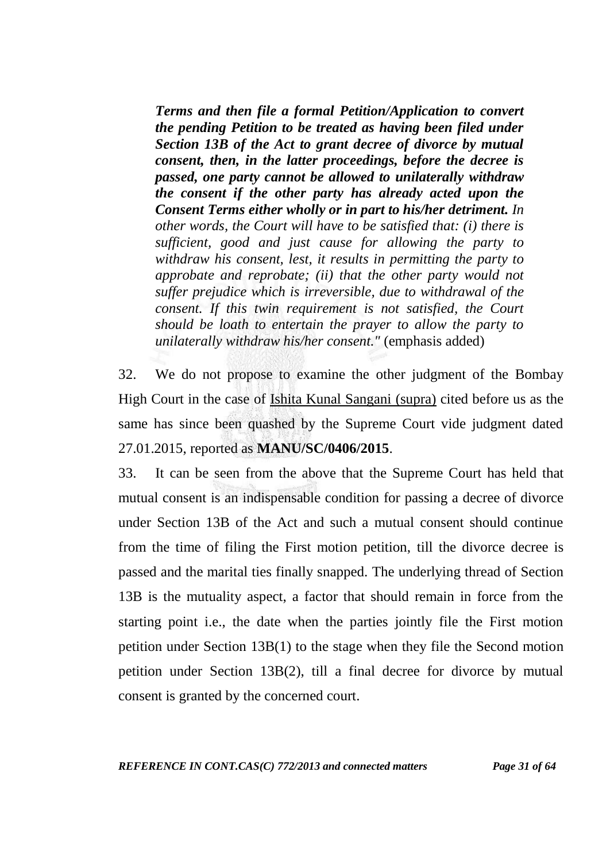*Terms and then file a formal Petition/Application to convert the pending Petition to be treated as having been filed under Section 13B of the Act to grant decree of divorce by mutual consent, then, in the latter proceedings, before the decree is passed, one party cannot be allowed to unilaterally withdraw the consent if the other party has already acted upon the Consent Terms either wholly or in part to his/her detriment. In other words, the Court will have to be satisfied that: (i) there is sufficient, good and just cause for allowing the party to withdraw his consent, lest, it results in permitting the party to approbate and reprobate; (ii) that the other party would not suffer prejudice which is irreversible, due to withdrawal of the consent. If this twin requirement is not satisfied, the Court should be loath to entertain the prayer to allow the party to unilaterally withdraw his/her consent."* (emphasis added)

32. We do not propose to examine the other judgment of the Bombay High Court in the case of Ishita Kunal Sangani (supra) cited before us as the same has since been quashed by the Supreme Court vide judgment dated 27.01.2015, reported as **MANU/SC/0406/2015**.

33. It can be seen from the above that the Supreme Court has held that mutual consent is an indispensable condition for passing a decree of divorce under Section 13B of the Act and such a mutual consent should continue from the time of filing the First motion petition, till the divorce decree is passed and the marital ties finally snapped. The underlying thread of Section 13B is the mutuality aspect, a factor that should remain in force from the starting point i.e., the date when the parties jointly file the First motion petition under Section 13B(1) to the stage when they file the Second motion petition under Section 13B(2), till a final decree for divorce by mutual consent is granted by the concerned court.

*REFERENCE IN CONT.CAS(C) 772/2013 and connected matters Page 31 of 64*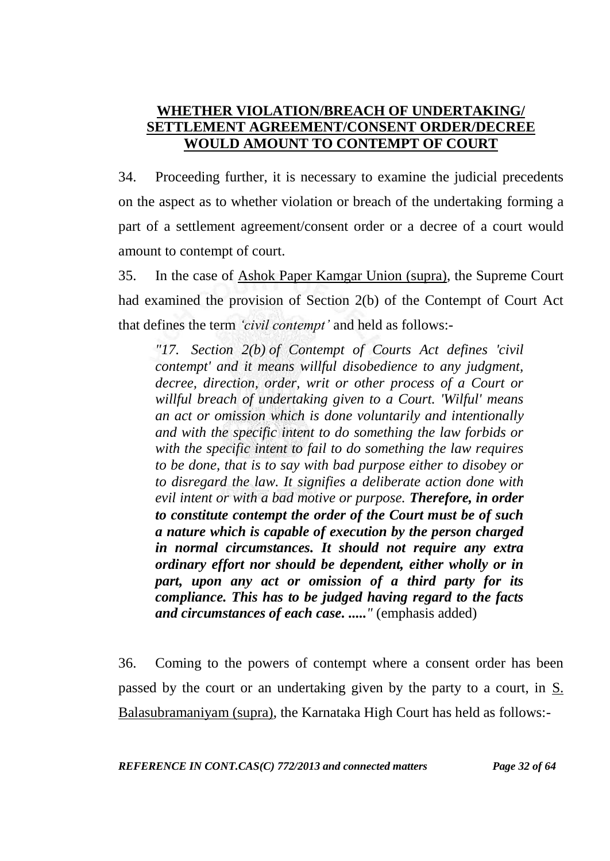# **WHETHER VIOLATION/BREACH OF UNDERTAKING/ SETTLEMENT AGREEMENT/CONSENT ORDER/DECREE WOULD AMOUNT TO CONTEMPT OF COURT**

34. Proceeding further, it is necessary to examine the judicial precedents on the aspect as to whether violation or breach of the undertaking forming a part of a settlement agreement/consent order or a decree of a court would amount to contempt of court.

35. In the case of Ashok Paper Kamgar Union (supra), the Supreme Court had examined the provision of Section 2(b) of the Contempt of Court Act that defines the term *‗civil contempt'* and held as follows:-

*"17. [Section 2\(b\)](https://indiankanoon.org/doc/654554/) of Contempt of Courts Act defines 'civil contempt' and it means willful disobedience to any judgment, decree, direction, order, writ or other process of a Court or willful breach of undertaking given to a Court. 'Wilful' means an act or omission which is done voluntarily and intentionally and with the specific intent to do something the law forbids or with the specific intent to fail to do something the law requires to be done, that is to say with bad purpose either to disobey or to disregard the law. It signifies a deliberate action done with evil intent or with a bad motive or purpose. Therefore, in order to constitute contempt the order of the Court must be of such a nature which is capable of execution by the person charged in normal circumstances. It should not require any extra ordinary effort nor should be dependent, either wholly or in part, upon any act or omission of a third party for its compliance. This has to be judged having regard to the facts and circumstances of each case. ....."* (emphasis added)

36. Coming to the powers of contempt where a consent order has been passed by the court or an undertaking given by the party to a court, in S. Balasubramaniyam (supra), the Karnataka High Court has held as follows:-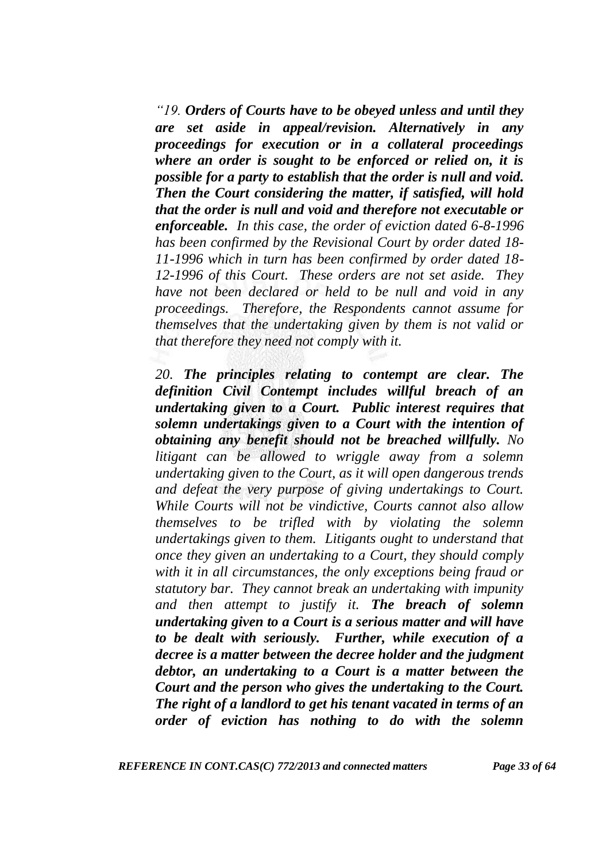*―19. Orders of Courts have to be obeyed unless and until they are set aside in appeal/revision. Alternatively in any proceedings for execution or in a collateral proceedings where an order is sought to be enforced or relied on, it is possible for a party to establish that the order is null and void. Then the Court considering the matter, if satisfied, will hold that the order is null and void and therefore not executable or enforceable. In this case, the order of eviction dated 6-8-1996 has been confirmed by the Revisional Court by order dated 18- 11-1996 which in turn has been confirmed by order dated 18- 12-1996 of this Court. These orders are not set aside. They have not been declared or held to be null and void in any proceedings. Therefore, the Respondents cannot assume for themselves that the undertaking given by them is not valid or that therefore they need not comply with it.*

*20. The principles relating to contempt are clear. The definition Civil Contempt includes willful breach of an undertaking given to a Court. Public interest requires that solemn undertakings given to a Court with the intention of obtaining any benefit should not be breached willfully. No litigant can be allowed to wriggle away from a solemn undertaking given to the Court, as it will open dangerous trends and defeat the very purpose of giving undertakings to Court. While Courts will not be vindictive, Courts cannot also allow themselves to be trifled with by violating the solemn undertakings given to them. Litigants ought to understand that once they given an undertaking to a Court, they should comply with it in all circumstances, the only exceptions being fraud or statutory bar. They cannot break an undertaking with impunity and then attempt to justify it. The breach of solemn undertaking given to a Court is a serious matter and will have to be dealt with seriously. Further, while execution of a decree is a matter between the decree holder and the judgment debtor, an undertaking to a Court is a matter between the Court and the person who gives the undertaking to the Court. The right of a landlord to get his tenant vacated in terms of an order of eviction has nothing to do with the solemn*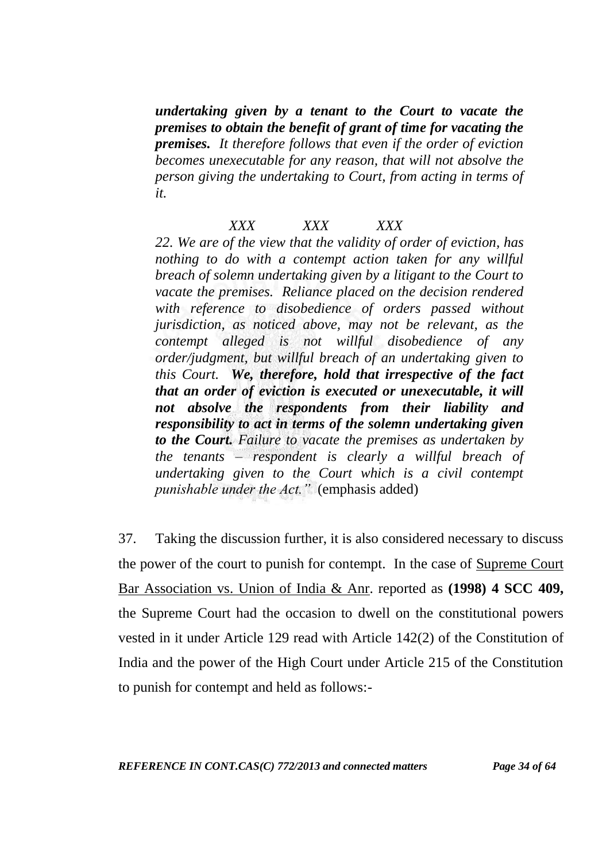*undertaking given by a tenant to the Court to vacate the premises to obtain the benefit of grant of time for vacating the premises. It therefore follows that even if the order of eviction becomes unexecutable for any reason, that will not absolve the person giving the undertaking to Court, from acting in terms of it.*

#### *XXX XXX XXX*

*22. We are of the view that the validity of order of eviction, has nothing to do with a contempt action taken for any willful breach of solemn undertaking given by a litigant to the Court to vacate the premises. Reliance placed on the decision rendered with reference to disobedience of orders passed without jurisdiction, as noticed above, may not be relevant, as the contempt alleged is not willful disobedience of any order/judgment, but willful breach of an undertaking given to this Court. We, therefore, hold that irrespective of the fact that an order of eviction is executed or unexecutable, it will not absolve the respondents from their liability and responsibility to act in terms of the solemn undertaking given to the Court. Failure to vacate the premises as undertaken by the tenants – respondent is clearly a willful breach of undertaking given to the Court which is a civil contempt punishable under the Act.‖* (emphasis added)

37. Taking the discussion further, it is also considered necessary to discuss the power of the court to punish for contempt. In the case of Supreme Court Bar Association vs. Union of India & Anr. reported as **(1998) 4 SCC 409,** the Supreme Court had the occasion to dwell on the constitutional powers vested in it under Article 129 read with Article 142(2) of the Constitution of India and the power of the High Court under Article 215 of the Constitution to punish for contempt and held as follows:-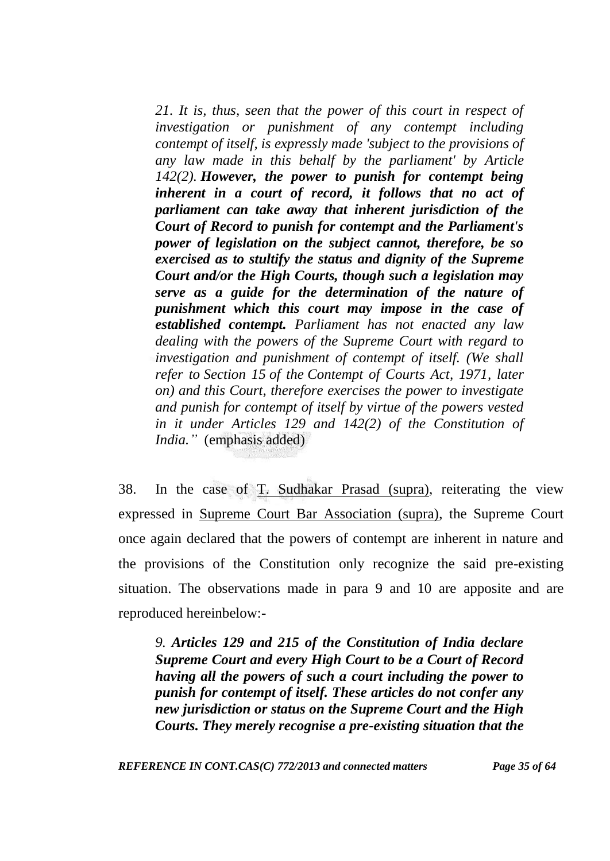*21. It is, thus, seen that the power of this court in respect of investigation or punishment of any contempt including contempt of itself, is expressly made 'subject to the provisions of any law made in this behalf by the parliament' by [Article](https://indiankanoon.org/doc/614338/)  [142\(2\).](https://indiankanoon.org/doc/614338/) However, the power to punish for contempt being inherent in a court of record, it follows that no act of parliament can take away that inherent jurisdiction of the Court of Record to punish for contempt and the Parliament's power of legislation on the subject cannot, therefore, be so exercised as to stultify the status and dignity of the Supreme Court and/or the High Courts, though such a legislation may serve as a guide for the determination of the nature of punishment which this court may impose in the case of established contempt. Parliament has not enacted any law dealing with the powers of the Supreme Court with regard to investigation and punishment of contempt of itself. (We shall refer to [Section 15](https://indiankanoon.org/doc/1005928/) of the [Contempt of Courts Act,](https://indiankanoon.org/doc/1396751/) 1971, later on) and this Court, therefore exercises the power to investigate and punish for contempt of itself by virtue of the powers vested in it under Articles 129 and 142(2) of the Constitution of India.*" (emphasis added)

38. In the case of T. Sudhakar Prasad (supra), reiterating the view expressed in Supreme Court Bar Association (supra), the Supreme Court once again declared that the powers of contempt are inherent in nature and the provisions of the Constitution only recognize the said pre-existing situation. The observations made in para 9 and 10 are apposite and are reproduced hereinbelow:-

*9. Articles 129 and 215 of the Constitution of India declare Supreme Court and every High Court to be a Court of Record having all the powers of such a court including the power to punish for contempt of itself. These articles do not confer any new jurisdiction or status on the Supreme Court and the High Courts. They merely recognise a pre-existing situation that the* 

*REFERENCE IN CONT.CAS(C) 772/2013 and connected matters Page 35 of 64*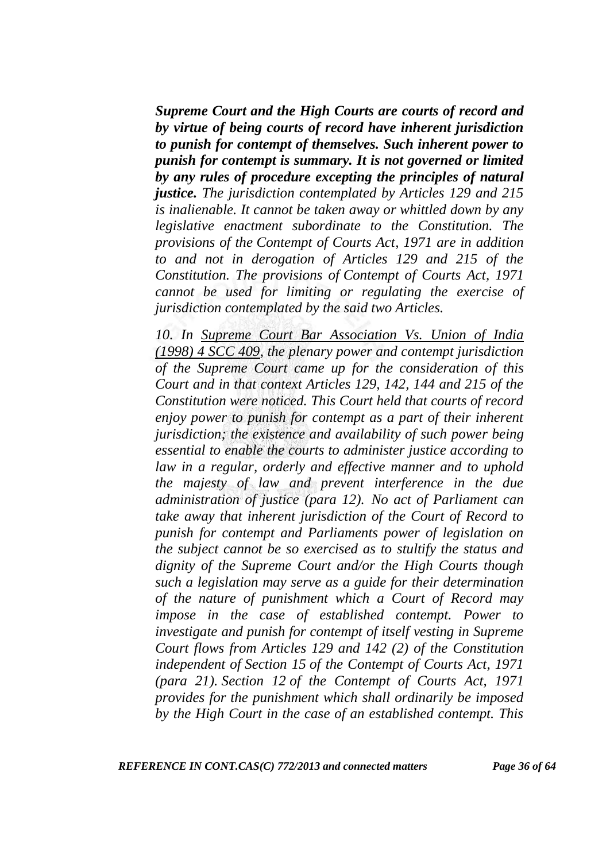*Supreme Court and the High Courts are courts of record and by virtue of being courts of record have inherent jurisdiction to punish for contempt of themselves. Such inherent power to punish for contempt is summary. It is not governed or limited by any rules of procedure excepting the principles of natural justice. The jurisdiction contemplated by Articles 129 and 215 is inalienable. It cannot be taken away or whittled down by any legislative enactment subordinate to the Constitution. The provisions of the [Contempt of Courts Act,](https://indiankanoon.org/doc/1396751/) 1971 are in addition to and not in derogation of Articles 129 and 215 of the Constitution. The provisions of [Contempt of Courts Act,](https://indiankanoon.org/doc/1396751/) 1971 cannot be used for limiting or regulating the exercise of jurisdiction contemplated by the said two Articles.*

*10. In Supreme Court Bar Association Vs. Union of India (1998) 4 SCC 409, the plenary power and contempt jurisdiction of the Supreme Court came up for the consideration of this Court and in that context Articles 129, 142, 144 and 215 of the Constitution were noticed. This Court held that courts of record enjoy power to punish for contempt as a part of their inherent jurisdiction; the existence and availability of such power being essential to enable the courts to administer justice according to law in a regular, orderly and effective manner and to uphold the majesty of law and prevent interference in the due administration of justice (para 12). No act of Parliament can take away that inherent jurisdiction of the Court of Record to punish for contempt and Parliaments power of legislation on the subject cannot be so exercised as to stultify the status and dignity of the Supreme Court and/or the High Courts though such a legislation may serve as a guide for their determination of the nature of punishment which a Court of Record may impose in the case of established contempt. Power to investigate and punish for contempt of itself vesting in Supreme Court flows from Articles 129 and 142 (2) of the Constitution independent of [Section 15](https://indiankanoon.org/doc/1923500/) of the Contempt of Courts Act, 1971 (para 21). [Section 12](https://indiankanoon.org/doc/269047/) of the Contempt of Courts Act, 1971 provides for the punishment which shall ordinarily be imposed by the High Court in the case of an established contempt. This*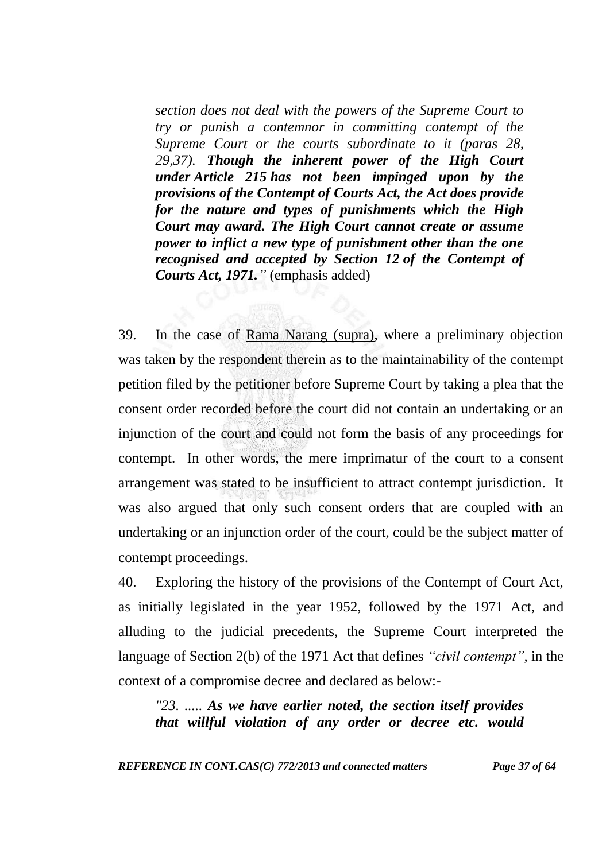*section does not deal with the powers of the Supreme Court to try or punish a contemnor in committing contempt of the Supreme Court or the courts subordinate to it (paras 28, 29,37). Though the inherent power of the High Court under [Article 215](https://indiankanoon.org/doc/207538/) has not been impinged upon by the provisions of the [Contempt of Courts Act,](https://indiankanoon.org/doc/1396751/) the Act does provide for the nature and types of punishments which the High Court may award. The High Court cannot create or assume power to inflict a new type of punishment other than the one recognised and accepted by [Section 12](https://indiankanoon.org/doc/269047/) of the Contempt of Courts Act, 1971.‖* (emphasis added)

39. In the case of Rama Narang (supra), where a preliminary objection was taken by the respondent therein as to the maintainability of the contempt petition filed by the petitioner before Supreme Court by taking a plea that the consent order recorded before the court did not contain an undertaking or an injunction of the court and could not form the basis of any proceedings for contempt. In other words, the mere imprimatur of the court to a consent arrangement was stated to be insufficient to attract contempt jurisdiction. It was also argued that only such consent orders that are coupled with an undertaking or an injunction order of the court, could be the subject matter of contempt proceedings.

40. Exploring the history of the provisions of the Contempt of Court Act, as initially legislated in the year 1952, followed by the 1971 Act, and alluding to the judicial precedents, the Supreme Court interpreted the language of Section 2(b) of the 1971 Act that defines *"civil contempt"*, in the context of a compromise decree and declared as below:-

*"23. ..... As we have earlier noted, the section itself provides that willful violation of any order or decree etc. would* 

*REFERENCE IN CONT.CAS(C) 772/2013 and connected matters Page 37 of 64*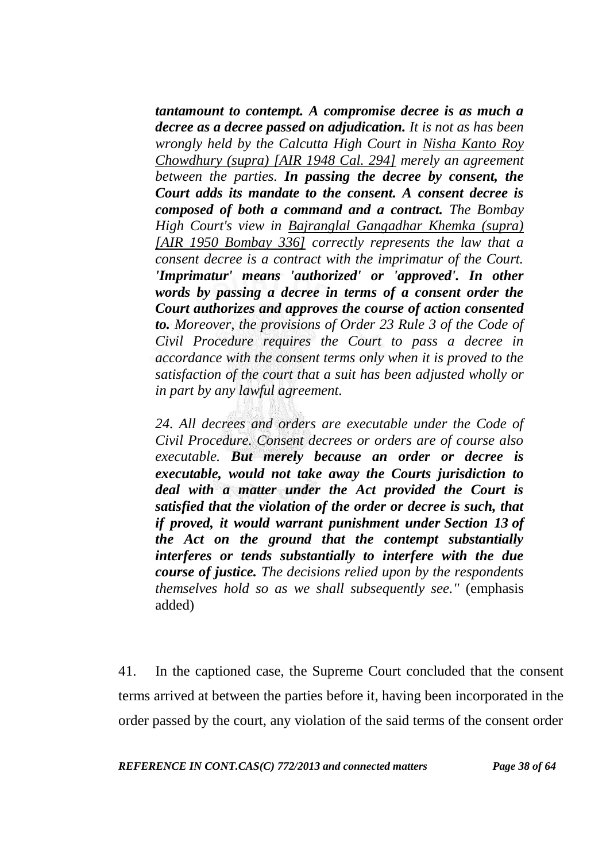*tantamount to contempt. A compromise decree is as much a decree as a decree passed on adjudication. It is not as has been wrongly held by the Calcutta High Court in Nisha Kanto Roy Chowdhury (supra) [AIR 1948 Cal. 294] merely an agreement between the parties. In passing the decree by consent, the Court adds its mandate to the consent. A consent decree is composed of both a command and a contract. The Bombay High Court's view in Bajranglal Gangadhar Khemka (supra) [AIR 1950 Bombay 336] correctly represents the law that a consent decree is a contract with the imprimatur of the Court. 'Imprimatur' means 'authorized' or 'approved'. In other words by passing a decree in terms of a consent order the Court authorizes and approves the course of action consented to. Moreover, the provisions of Order 23 Rule 3 of the Code of Civil Procedure requires the Court to pass a decree in accordance with the consent terms only when it is proved to the satisfaction of the court that a suit has been adjusted wholly or in part by any lawful agreement.*

*24. All decrees and orders are executable under the Code of Civil Procedure. Consent decrees or orders are of course also executable. But merely because an order or decree is executable, would not take away the Courts jurisdiction to deal with a matter under the Act provided the Court is satisfied that the violation of the order or decree is such, that if proved, it would warrant punishment under [Section 13](https://indiankanoon.org/doc/1478730/) of the Act on the ground that the contempt substantially interferes or tends substantially to interfere with the due course of justice. The decisions relied upon by the respondents themselves hold so as we shall subsequently see."* (emphasis added)

41. In the captioned case, the Supreme Court concluded that the consent terms arrived at between the parties before it, having been incorporated in the order passed by the court, any violation of the said terms of the consent order

*REFERENCE IN CONT.CAS(C) 772/2013 and connected matters Page 38 of 64*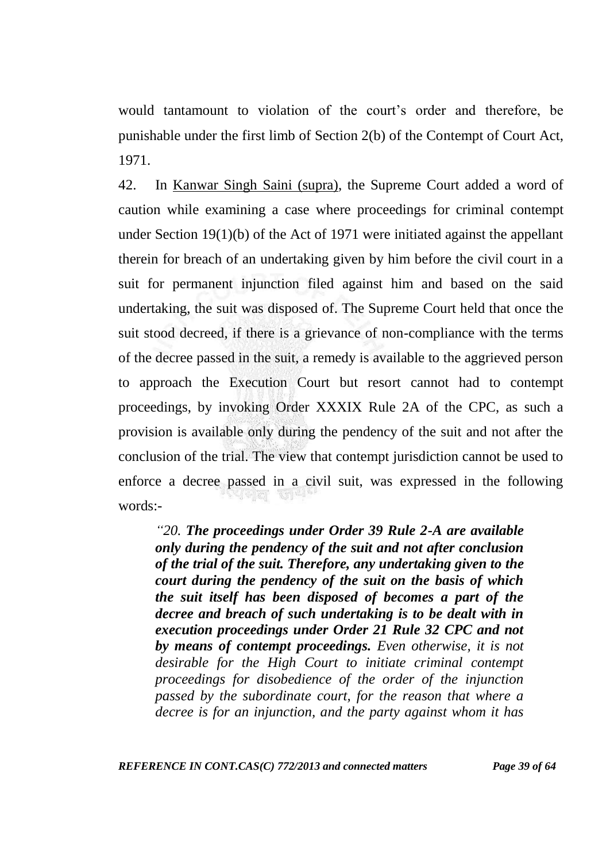would tantamount to violation of the court's order and therefore, be punishable under the first limb of Section 2(b) of the Contempt of Court Act, 1971.

42. In Kanwar Singh Saini (supra), the Supreme Court added a word of caution while examining a case where proceedings for criminal contempt under Section 19(1)(b) of the Act of 1971 were initiated against the appellant therein for breach of an undertaking given by him before the civil court in a suit for permanent injunction filed against him and based on the said undertaking, the suit was disposed of. The Supreme Court held that once the suit stood decreed, if there is a grievance of non-compliance with the terms of the decree passed in the suit, a remedy is available to the aggrieved person to approach the Execution Court but resort cannot had to contempt proceedings, by invoking Order XXXIX Rule 2A of the CPC, as such a provision is available only during the pendency of the suit and not after the conclusion of the trial. The view that contempt jurisdiction cannot be used to enforce a decree passed in a civil suit, was expressed in the following 각식 전기 "繁殖""生" words:-

*―20. The proceedings under Order 39 Rule 2-A are available only during the pendency of the suit and not after conclusion of the trial of the suit. Therefore, any undertaking given to the court during the pendency of the suit on the basis of which the suit itself has been disposed of becomes a part of the decree and breach of such undertaking is to be dealt with in execution proceedings under Order 21 Rule 32 CPC and not by means of contempt proceedings. Even otherwise, it is not desirable for the High Court to initiate criminal contempt proceedings for disobedience of the order of the injunction passed by the subordinate court, for the reason that where a decree is for an injunction, and the party against whom it has* 

*REFERENCE IN CONT.CAS(C) 772/2013 and connected matters Page 39 of 64*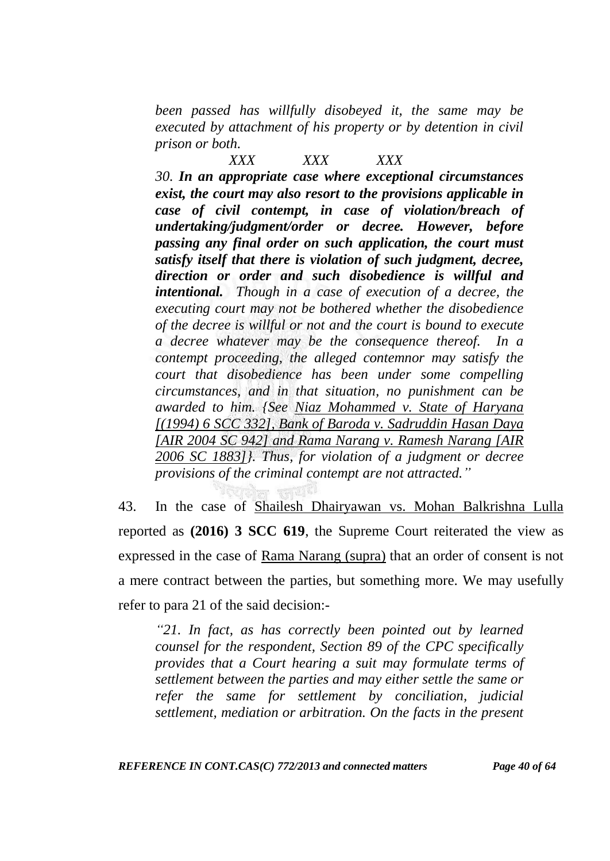*been passed has willfully disobeyed it, the same may be executed by attachment of his property or by detention in civil prison or both.* 

*XXX XXX XXX*

*30. In an appropriate case where exceptional circumstances exist, the court may also resort to the provisions applicable in case of civil contempt, in case of violation/breach of undertaking/judgment/order or decree. However, before passing any final order on such application, the court must satisfy itself that there is violation of such judgment, decree, direction or order and such disobedience is willful and intentional. Though in a case of execution of a decree, the executing court may not be bothered whether the disobedience of the decree is willful or not and the court is bound to execute a decree whatever may be the consequence thereof. In a contempt proceeding, the alleged contemnor may satisfy the court that disobedience has been under some compelling circumstances, and in that situation, no punishment can be awarded to him. {See Niaz Mohammed v. State of Haryana [(1994) 6 SCC 332], Bank of Baroda v. Sadruddin Hasan Daya [AIR 2004 SC 942] and Rama Narang v. Ramesh Narang [AIR 2006 SC 1883]}. Thus, for violation of a judgment or decree provisions of the criminal contempt are not attracted.‖* 

43. In the case of Shailesh Dhairyawan vs. Mohan Balkrishna Lulla reported as **(2016) 3 SCC 619**, the Supreme Court reiterated the view as expressed in the case of Rama Narang (supra) that an order of consent is not a mere contract between the parties, but something more. We may usefully refer to para 21 of the said decision:-

*―21. In fact, as has correctly been pointed out by learned counsel for the respondent, Section 89 of the CPC specifically provides that a Court hearing a suit may formulate terms of settlement between the parties and may either settle the same or refer the same for settlement by conciliation, judicial settlement, mediation or arbitration. On the facts in the present*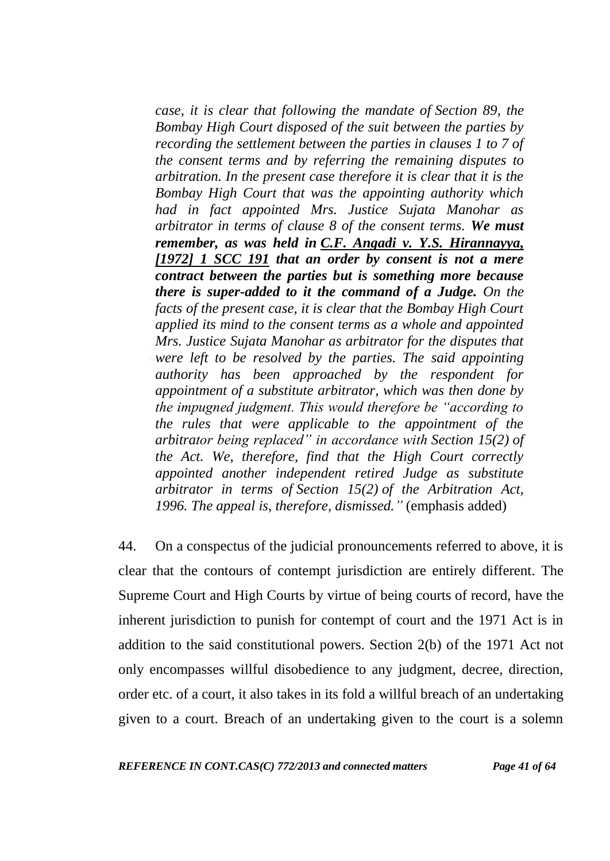*case, it is clear that following the mandate of [Section 89,](https://indiankanoon.org/doc/1306164/) the Bombay High Court disposed of the suit between the parties by recording the settlement between the parties in clauses 1 to 7 of the consent terms and by referring the remaining disputes to arbitration. In the present case therefore it is clear that it is the Bombay High Court that was the appointing authority which had in fact appointed Mrs. Justice Sujata Manohar as arbitrator in terms of clause 8 of the consent terms. We must remember, as was held in [C.F. Angadi v. Y.S. Hirannayya,](https://indiankanoon.org/doc/1422366/) [1972] 1 SCC 191 that an order by consent is not a mere contract between the parties but is something more because there is super-added to it the command of a Judge. On the facts of the present case, it is clear that the Bombay High Court applied its mind to the consent terms as a whole and appointed Mrs. Justice Sujata Manohar as arbitrator for the disputes that were left to be resolved by the parties. The said appointing authority has been approached by the respondent for appointment of a substitute arbitrator, which was then done by the impugned judgment. This would therefore be "according to the rules that were applicable to the appointment of the arbitrator being replaced‖ in accordance with [Section 15\(2\)](https://indiankanoon.org/doc/1937086/) of the Act. We, therefore, find that the High Court correctly appointed another independent retired Judge as substitute arbitrator in terms of [Section 15\(2\)](https://indiankanoon.org/doc/1294263/) of the Arbitration Act,*  1996. The appeal is, therefore, dismissed." (emphasis added)

44. On a conspectus of the judicial pronouncements referred to above, it is clear that the contours of contempt jurisdiction are entirely different. The Supreme Court and High Courts by virtue of being courts of record, have the inherent jurisdiction to punish for contempt of court and the 1971 Act is in addition to the said constitutional powers. Section 2(b) of the 1971 Act not only encompasses willful disobedience to any judgment, decree, direction, order etc. of a court, it also takes in its fold a willful breach of an undertaking given to a court. Breach of an undertaking given to the court is a solemn

*REFERENCE IN CONT.CAS(C) 772/2013 and connected matters Page 41 of 64*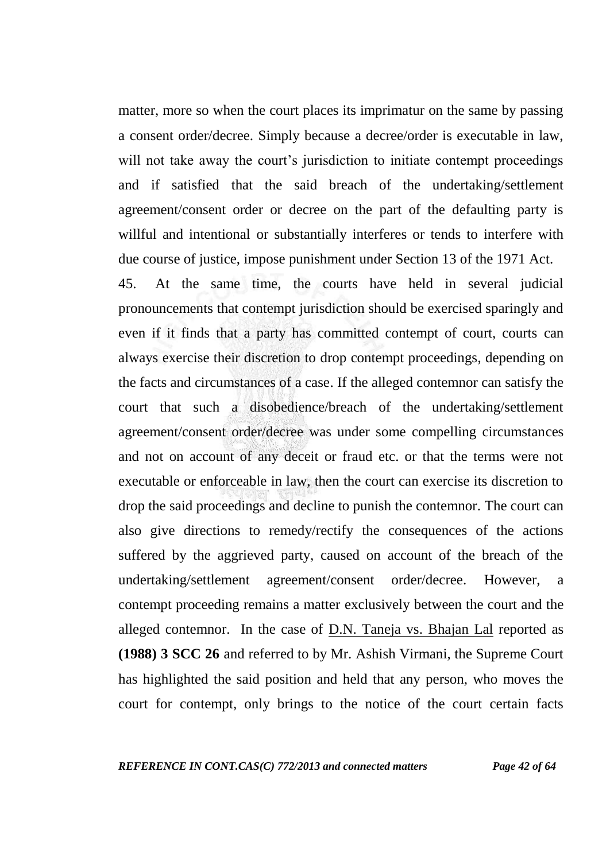matter, more so when the court places its imprimatur on the same by passing a consent order/decree. Simply because a decree/order is executable in law, will not take away the court's jurisdiction to initiate contempt proceedings and if satisfied that the said breach of the undertaking/settlement agreement/consent order or decree on the part of the defaulting party is willful and intentional or substantially interferes or tends to interfere with due course of justice, impose punishment under Section 13 of the 1971 Act.

45. At the same time, the courts have held in several judicial pronouncements that contempt jurisdiction should be exercised sparingly and even if it finds that a party has committed contempt of court, courts can always exercise their discretion to drop contempt proceedings, depending on the facts and circumstances of a case. If the alleged contemnor can satisfy the court that such a disobedience/breach of the undertaking/settlement agreement/consent order/decree was under some compelling circumstances and not on account of any deceit or fraud etc. or that the terms were not executable or enforceable in law, then the court can exercise its discretion to drop the said proceedings and decline to punish the contemnor. The court can also give directions to remedy/rectify the consequences of the actions suffered by the aggrieved party, caused on account of the breach of the undertaking/settlement agreement/consent order/decree. However, a contempt proceeding remains a matter exclusively between the court and the alleged contemnor. In the case of D.N. Taneja vs. Bhajan Lal reported as **(1988) 3 SCC 26** and referred to by Mr. Ashish Virmani, the Supreme Court has highlighted the said position and held that any person, who moves the court for contempt, only brings to the notice of the court certain facts

*REFERENCE IN CONT.CAS(C) 772/2013 and connected matters Page 42 of 64*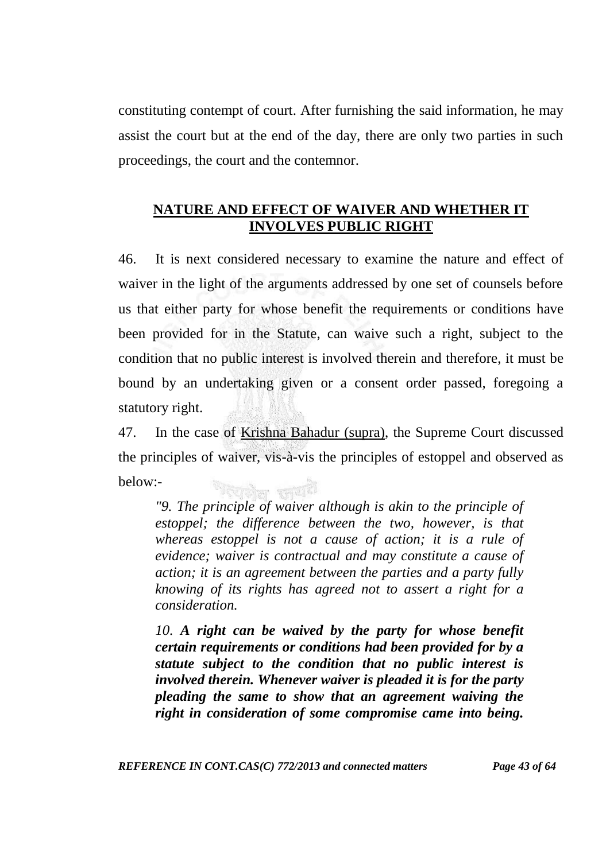constituting contempt of court. After furnishing the said information, he may assist the court but at the end of the day, there are only two parties in such proceedings, the court and the contemnor.

## **NATURE AND EFFECT OF WAIVER AND WHETHER IT INVOLVES PUBLIC RIGHT**

46. It is next considered necessary to examine the nature and effect of waiver in the light of the arguments addressed by one set of counsels before us that either party for whose benefit the requirements or conditions have been provided for in the Statute, can waive such a right, subject to the condition that no public interest is involved therein and therefore, it must be bound by an undertaking given or a consent order passed, foregoing a statutory right.

47. In the case of Krishna Bahadur (supra), the Supreme Court discussed the principles of waiver, vis-à-vis the principles of estoppel and observed as below:-

*"9. The principle of waiver although is akin to the principle of estoppel; the difference between the two, however, is that whereas estoppel is not a cause of action; it is a rule of evidence; waiver is contractual and may constitute a cause of action; it is an agreement between the parties and a party fully knowing of its rights has agreed not to assert a right for a consideration.*

*10. A right can be waived by the party for whose benefit certain requirements or conditions had been provided for by a statute subject to the condition that no public interest is involved therein. Whenever waiver is pleaded it is for the party pleading the same to show that an agreement waiving the right in consideration of some compromise came into being.*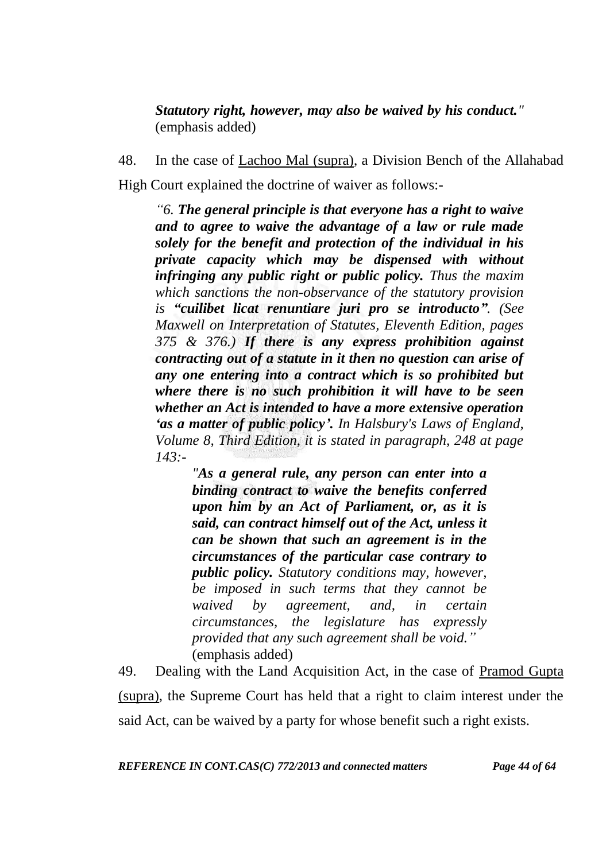*Statutory right, however, may also be waived by his conduct."* (emphasis added)

48. In the case of Lachoo Mal (supra), a Division Bench of the Allahabad High Court explained the doctrine of waiver as follows:-

*―6. The general principle is that everyone has a right to waive and to agree to waive the advantage of a law or rule made solely for the benefit and protection of the individual in his private capacity which may be dispensed with without infringing any public right or public policy. Thus the maxim which sanctions the non-observance of the statutory provision is "cuilibet licat renuntiare juri pro se introducto". (See Maxwell on Interpretation of Statutes, Eleventh Edition, pages 375 & 376.) If there is any express prohibition against contracting out of a statute in it then no question can arise of any one entering into a contract which is so prohibited but where there is no such prohibition it will have to be seen whether an Act is intended to have a more extensive operation "as a matter of public policy". In Halsbury's Laws of England, Volume 8, Third Edition, it is stated in paragraph, 248 at page 143:-*

*"As a general rule, any person can enter into a binding contract to waive the benefits conferred upon him by an Act of Parliament, or, as it is said, can contract himself out of the Act, unless it can be shown that such an agreement is in the circumstances of the particular case contrary to public policy. Statutory conditions may, however, be imposed in such terms that they cannot be waived by agreement, and, in certain circumstances, the legislature has expressly provided that any such agreement shall be void.‖* (emphasis added)

49. Dealing with the Land Acquisition Act, in the case of Pramod Gupta (supra), the Supreme Court has held that a right to claim interest under the said Act, can be waived by a party for whose benefit such a right exists.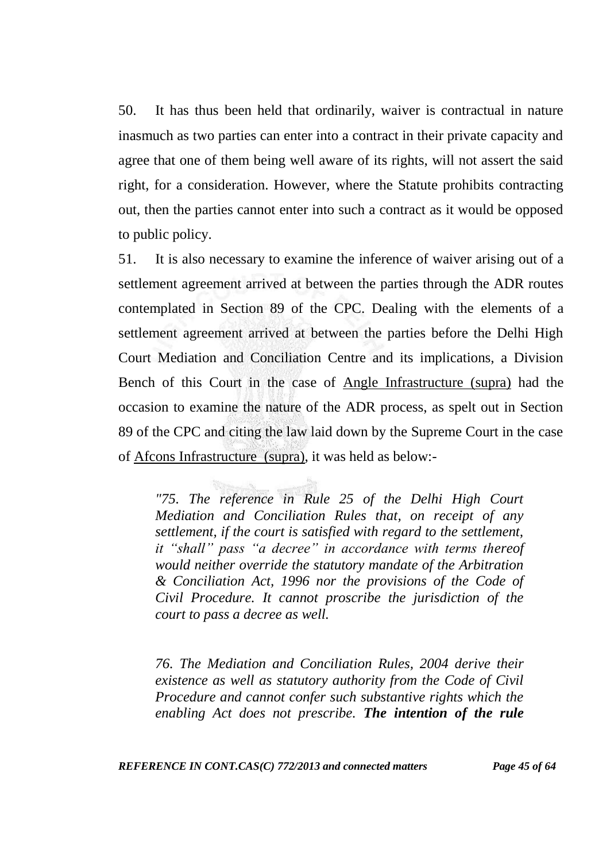50. It has thus been held that ordinarily, waiver is contractual in nature inasmuch as two parties can enter into a contract in their private capacity and agree that one of them being well aware of its rights, will not assert the said right, for a consideration. However, where the Statute prohibits contracting out, then the parties cannot enter into such a contract as it would be opposed to public policy.

51. It is also necessary to examine the inference of waiver arising out of a settlement agreement arrived at between the parties through the ADR routes contemplated in Section 89 of the CPC. Dealing with the elements of a settlement agreement arrived at between the parties before the Delhi High Court Mediation and Conciliation Centre and its implications, a Division Bench of this Court in the case of Angle Infrastructure (supra) had the occasion to examine the nature of the ADR process, as spelt out in Section 89 of the CPC and citing the law laid down by the Supreme Court in the case of Afcons Infrastructure (supra), it was held as below:-

*"75. The reference in Rule 25 of the Delhi High Court Mediation and Conciliation Rules that, on receipt of any settlement, if the court is satisfied with regard to the settlement, it* "shall" pass "a decree" in accordance with terms thereof *would neither override the statutory mandate of the Arbitration & Conciliation Act, 1996 nor the provisions of the Code of Civil Procedure. It cannot proscribe the jurisdiction of the court to pass a decree as well.* 

*76. The Mediation and Conciliation Rules, 2004 derive their existence as well as statutory authority from the Code of Civil Procedure and cannot confer such substantive rights which the enabling Act does not prescribe. The intention of the rule*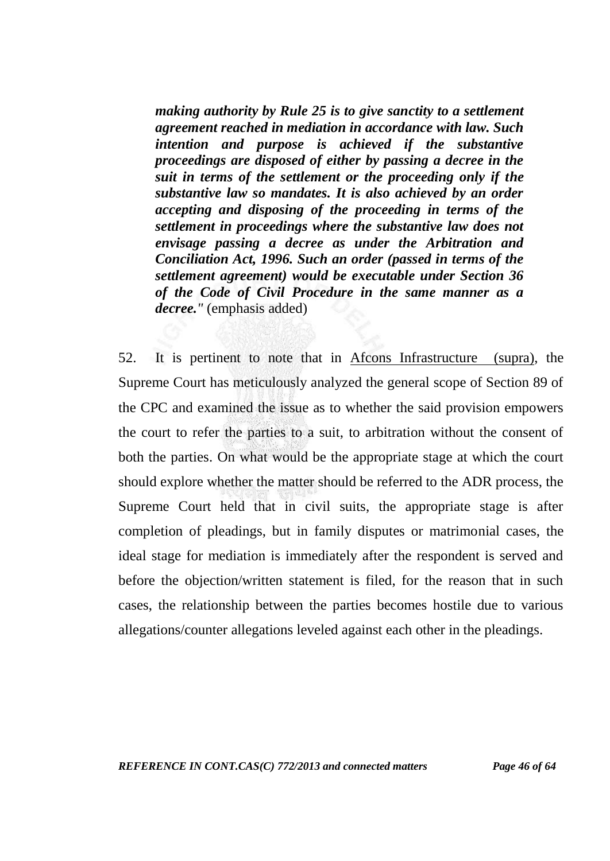*making authority by Rule 25 is to give sanctity to a settlement agreement reached in mediation in accordance with law. Such intention and purpose is achieved if the substantive proceedings are disposed of either by passing a decree in the suit in terms of the settlement or the proceeding only if the substantive law so mandates. It is also achieved by an order accepting and disposing of the proceeding in terms of the settlement in proceedings where the substantive law does not envisage passing a decree as under the Arbitration and Conciliation Act, 1996. Such an order (passed in terms of the settlement agreement) would be executable under Section 36 of the Code of Civil Procedure in the same manner as a decree."* (emphasis added)

52. It is pertinent to note that in Afcons Infrastructure (supra), the Supreme Court has meticulously analyzed the general scope of Section 89 of the CPC and examined the issue as to whether the said provision empowers the court to refer the parties to a suit, to arbitration without the consent of both the parties. On what would be the appropriate stage at which the court should explore whether the matter should be referred to the ADR process, the Supreme Court held that in civil suits, the appropriate stage is after completion of pleadings, but in family disputes or matrimonial cases, the ideal stage for mediation is immediately after the respondent is served and before the objection/written statement is filed, for the reason that in such cases, the relationship between the parties becomes hostile due to various allegations/counter allegations leveled against each other in the pleadings.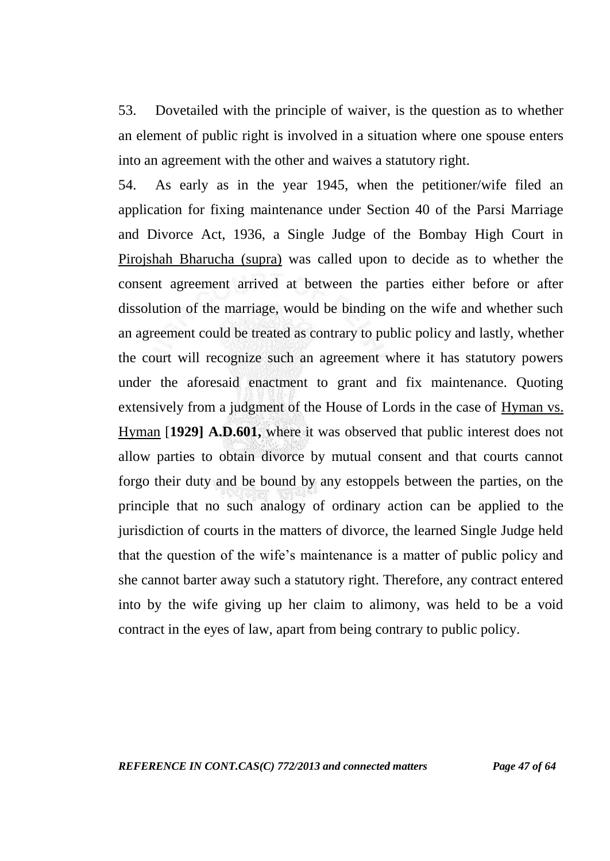53. Dovetailed with the principle of waiver, is the question as to whether an element of public right is involved in a situation where one spouse enters into an agreement with the other and waives a statutory right.

54. As early as in the year 1945, when the petitioner/wife filed an application for fixing maintenance under Section 40 of the Parsi Marriage and Divorce Act, 1936, a Single Judge of the Bombay High Court in Pirojshah Bharucha (supra) was called upon to decide as to whether the consent agreement arrived at between the parties either before or after dissolution of the marriage, would be binding on the wife and whether such an agreement could be treated as contrary to public policy and lastly, whether the court will recognize such an agreement where it has statutory powers under the aforesaid enactment to grant and fix maintenance. Quoting extensively from a judgment of the House of Lords in the case of Hyman vs. Hyman [**1929] A.D.601,** where it was observed that public interest does not allow parties to obtain divorce by mutual consent and that courts cannot forgo their duty and be bound by any estoppels between the parties, on the principle that no such analogy of ordinary action can be applied to the jurisdiction of courts in the matters of divorce, the learned Single Judge held that the question of the wife"s maintenance is a matter of public policy and she cannot barter away such a statutory right. Therefore, any contract entered into by the wife giving up her claim to alimony, was held to be a void contract in the eyes of law, apart from being contrary to public policy.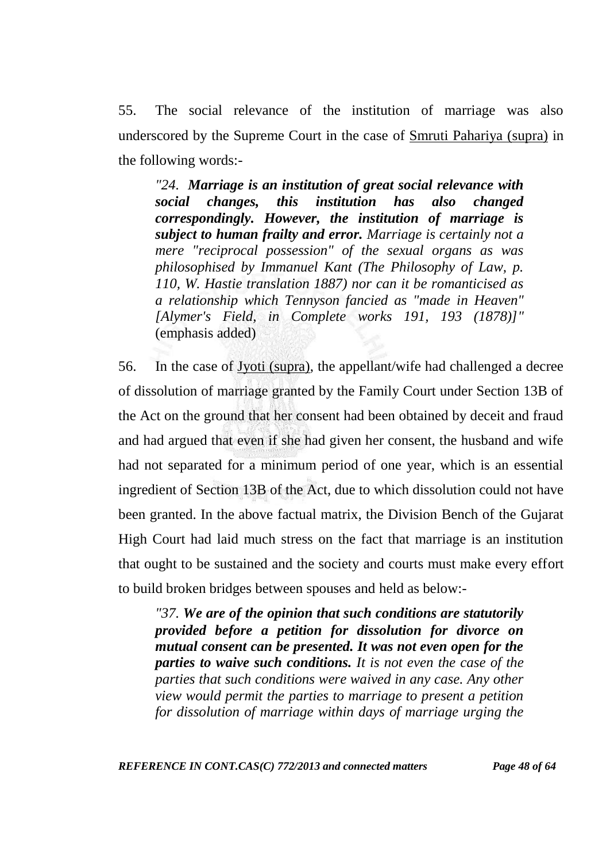55. The social relevance of the institution of marriage was also underscored by the Supreme Court in the case of Smruti Pahariya (supra) in the following words:-

*"24. Marriage is an institution of great social relevance with social changes, this institution has also changed correspondingly. However, the institution of marriage is subject to human frailty and error. Marriage is certainly not a mere "reciprocal possession" of the sexual organs as was philosophised by Immanuel Kant (The Philosophy of Law, p. 110, W. Hastie translation 1887) nor can it be romanticised as a relationship which Tennyson fancied as "made in Heaven" [Alymer's Field, in Complete works 191, 193 (1878)]"*  (emphasis added)

56. In the case of Jyoti (supra), the appellant/wife had challenged a decree of dissolution of marriage granted by the Family Court under Section 13B of the Act on the ground that her consent had been obtained by deceit and fraud and had argued that even if she had given her consent, the husband and wife had not separated for a minimum period of one year, which is an essential ingredient of Section 13B of the Act, due to which dissolution could not have been granted. In the above factual matrix, the Division Bench of the Gujarat High Court had laid much stress on the fact that marriage is an institution that ought to be sustained and the society and courts must make every effort to build broken bridges between spouses and held as below:-

*"37. We are of the opinion that such conditions are statutorily provided before a petition for dissolution for divorce on mutual consent can be presented. It was not even open for the parties to waive such conditions. It is not even the case of the parties that such conditions were waived in any case. Any other view would permit the parties to marriage to present a petition for dissolution of marriage within days of marriage urging the*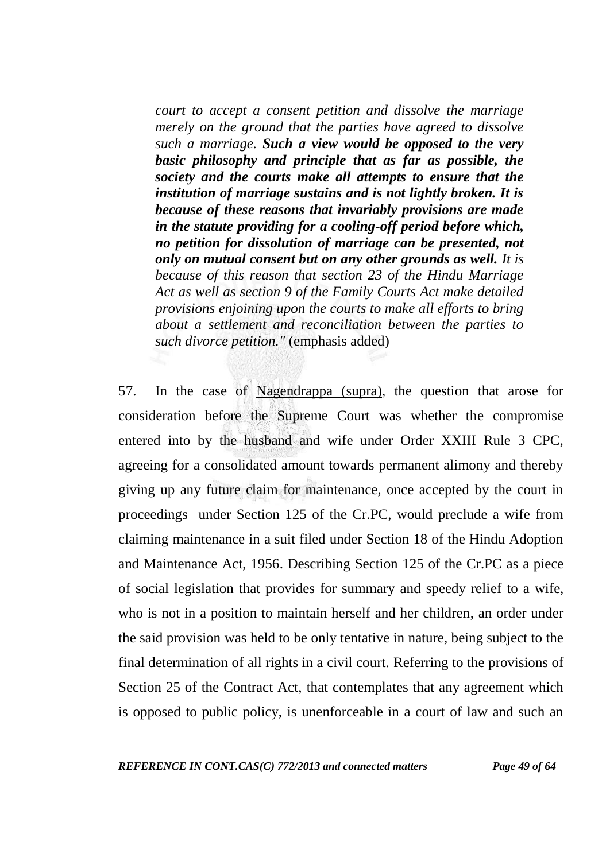*court to accept a consent petition and dissolve the marriage merely on the ground that the parties have agreed to dissolve such a marriage. Such a view would be opposed to the very basic philosophy and principle that as far as possible, the society and the courts make all attempts to ensure that the institution of marriage sustains and is not lightly broken. It is because of these reasons that invariably provisions are made in the statute providing for a cooling-off period before which, no petition for dissolution of marriage can be presented, not only on mutual consent but on any other grounds as well. It is because of this reason that section 23 of the Hindu Marriage Act as well as section 9 of the Family Courts Act make detailed provisions enjoining upon the courts to make all efforts to bring about a settlement and reconciliation between the parties to such divorce petition."* (emphasis added)

57. In the case of Nagendrappa (supra), the question that arose for consideration before the Supreme Court was whether the compromise entered into by the husband and wife under Order XXIII Rule 3 CPC, agreeing for a consolidated amount towards permanent alimony and thereby giving up any future claim for maintenance, once accepted by the court in proceedings under Section 125 of the Cr.PC, would preclude a wife from claiming maintenance in a suit filed under Section 18 of the Hindu Adoption and Maintenance Act, 1956. Describing Section 125 of the Cr.PC as a piece of social legislation that provides for summary and speedy relief to a wife, who is not in a position to maintain herself and her children, an order under the said provision was held to be only tentative in nature, being subject to the final determination of all rights in a civil court. Referring to the provisions of Section 25 of the Contract Act, that contemplates that any agreement which is opposed to public policy, is unenforceable in a court of law and such an

*REFERENCE IN CONT.CAS(C) 772/2013 and connected matters Page 49 of 64*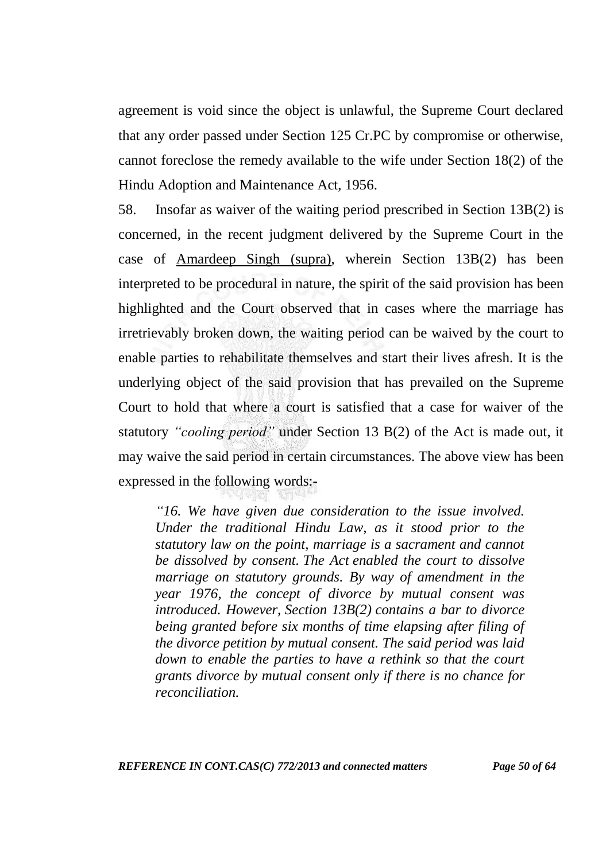agreement is void since the object is unlawful, the Supreme Court declared that any order passed under Section 125 Cr.PC by compromise or otherwise, cannot foreclose the remedy available to the wife under Section 18(2) of the Hindu Adoption and Maintenance Act, 1956.

58. Insofar as waiver of the waiting period prescribed in Section 13B(2) is concerned, in the recent judgment delivered by the Supreme Court in the case of Amardeep Singh (supra), wherein Section 13B(2) has been interpreted to be procedural in nature, the spirit of the said provision has been highlighted and the Court observed that in cases where the marriage has irretrievably broken down, the waiting period can be waived by the court to enable parties to rehabilitate themselves and start their lives afresh. It is the underlying object of the said provision that has prevailed on the Supreme Court to hold that where a court is satisfied that a case for waiver of the statutory *"cooling period"* under Section 13 B(2) of the Act is made out, it may waive the said period in certain circumstances. The above view has been expressed in the following words:-

*―16. We have given due consideration to the issue involved. Under the traditional Hindu Law, as it stood prior to the statutory law on the point, marriage is a sacrament and cannot be dissolved by consent. [The Act](https://indiankanoon.org/doc/590166/) enabled the court to dissolve marriage on statutory grounds. By way of amendment in the year 1976, the concept of divorce by mutual consent was introduced. However, [Section 13B\(2\)](https://indiankanoon.org/doc/1108159/) contains a bar to divorce being granted before six months of time elapsing after filing of the divorce petition by mutual consent. The said period was laid down to enable the parties to have a rethink so that the court grants divorce by mutual consent only if there is no chance for reconciliation.*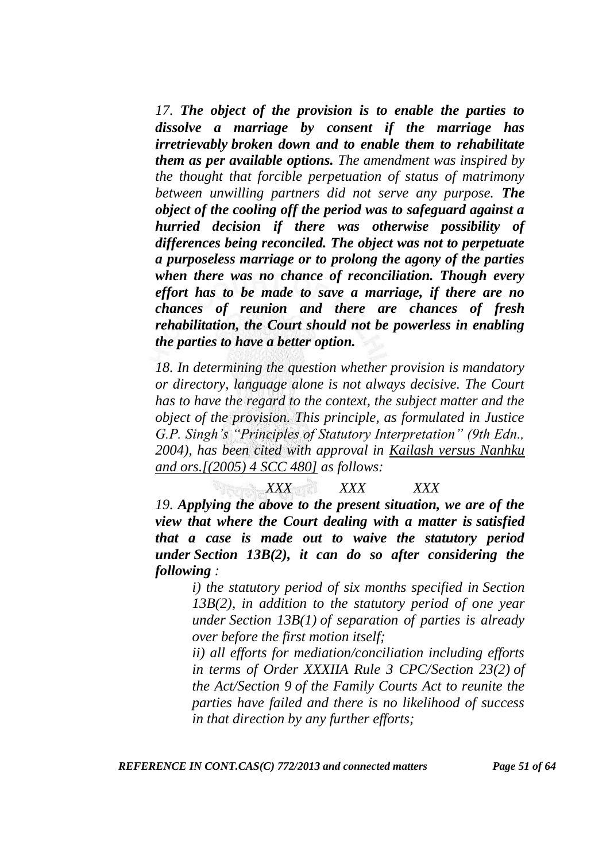*17. The object of the provision is to enable the parties to dissolve a marriage by consent if the marriage has irretrievably broken down and to enable them to rehabilitate them as per available options. The amendment was inspired by the thought that forcible perpetuation of status of matrimony between unwilling partners did not serve any purpose. The object of the cooling off the period was to safeguard against a hurried decision if there was otherwise possibility of differences being reconciled. The object was not to perpetuate a purposeless marriage or to prolong the agony of the parties when there was no chance of reconciliation. Though every effort has to be made to save a marriage, if there are no chances of reunion and there are chances of fresh rehabilitation, the Court should not be powerless in enabling the parties to have a better option.*

*18. In determining the question whether provision is mandatory or directory, language alone is not always decisive. The Court has to have the regard to the context, the subject matter and the object of the provision. This principle, as formulated in Justice G.P. Singh's "Principles of Statutory Interpretation" (9th Edn., 2004), has been cited with approval in Kailash versus Nanhku and ors.[(2005) 4 SCC 480] as follows:*

*XXX XXX XXX*

*19. Applying the above to the present situation, we are of the view that where the Court dealing with a matter is satisfied that a case is made out to waive the statutory period under [Section 13B\(2\),](https://indiankanoon.org/doc/1108159/) it can do so after considering the following :*

> *i) the statutory period of six months specified in [Section](https://indiankanoon.org/doc/1108159/)  [13B\(2\),](https://indiankanoon.org/doc/1108159/) in addition to the statutory period of one year under [Section 13B\(1\)](https://indiankanoon.org/doc/371870/) of separation of parties is already over before the first motion itself;*

> *ii) all efforts for mediation/conciliation including efforts in terms of Order XXXIIA Rule 3 CPC[/Section 23\(2\)](https://indiankanoon.org/doc/1464280/) of the Act[/Section 9](https://indiankanoon.org/doc/1558811/) of the Family Courts Act to reunite the parties have failed and there is no likelihood of success in that direction by any further efforts;*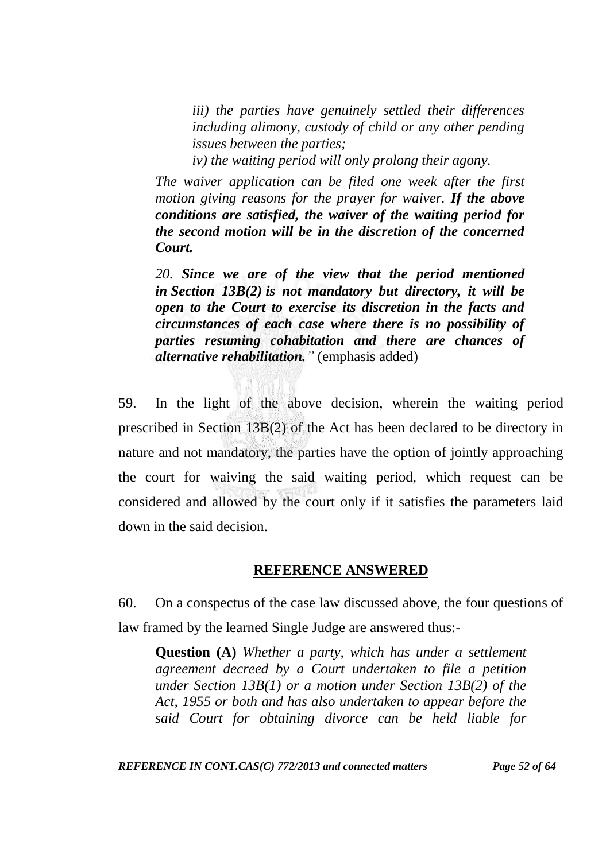*iii) the parties have genuinely settled their differences including alimony, custody of child or any other pending issues between the parties;*

*iv) the waiting period will only prolong their agony.*

*The waiver application can be filed one week after the first motion giving reasons for the prayer for waiver. If the above conditions are satisfied, the waiver of the waiting period for the second motion will be in the discretion of the concerned Court.*

*20. Since we are of the view that the period mentioned in [Section 13B\(2\)](https://indiankanoon.org/doc/1108159/) is not mandatory but directory, it will be open to the Court to exercise its discretion in the facts and circumstances of each case where there is no possibility of parties resuming cohabitation and there are chances of alternative rehabilitation.‖* (emphasis added)

59. In the light of the above decision, wherein the waiting period prescribed in Section 13B(2) of the Act has been declared to be directory in nature and not mandatory, the parties have the option of jointly approaching the court for waiving the said waiting period, which request can be considered and allowed by the court only if it satisfies the parameters laid down in the said decision.

#### **REFERENCE ANSWERED**

60. On a conspectus of the case law discussed above, the four questions of law framed by the learned Single Judge are answered thus:-

**Question (A)** *Whether a party, which has under a settlement agreement decreed by a Court undertaken to file a petition under Section 13B(1) or a motion under Section 13B(2) of the Act, 1955 or both and has also undertaken to appear before the said Court for obtaining divorce can be held liable for*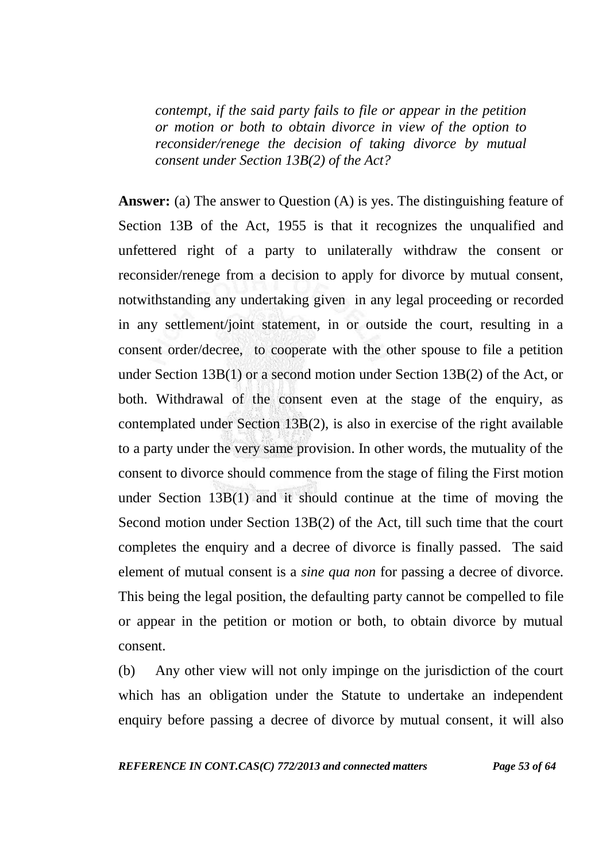*contempt, if the said party fails to file or appear in the petition or motion or both to obtain divorce in view of the option to reconsider/renege the decision of taking divorce by mutual consent under Section 13B(2) of the Act?* 

**Answer:** (a) The answer to Question (A) is yes. The distinguishing feature of Section 13B of the Act, 1955 is that it recognizes the unqualified and unfettered right of a party to unilaterally withdraw the consent or reconsider/renege from a decision to apply for divorce by mutual consent, notwithstanding any undertaking given in any legal proceeding or recorded in any settlement/joint statement, in or outside the court, resulting in a consent order/decree, to cooperate with the other spouse to file a petition under Section 13B(1) or a second motion under Section 13B(2) of the Act, or both. Withdrawal of the consent even at the stage of the enquiry, as contemplated under Section 13B(2), is also in exercise of the right available to a party under the very same provision. In other words, the mutuality of the consent to divorce should commence from the stage of filing the First motion under Section 13B(1) and it should continue at the time of moving the Second motion under Section 13B(2) of the Act, till such time that the court completes the enquiry and a decree of divorce is finally passed. The said element of mutual consent is a *sine qua non* for passing a decree of divorce. This being the legal position, the defaulting party cannot be compelled to file or appear in the petition or motion or both, to obtain divorce by mutual consent.

(b) Any other view will not only impinge on the jurisdiction of the court which has an obligation under the Statute to undertake an independent enquiry before passing a decree of divorce by mutual consent, it will also

*REFERENCE IN CONT.CAS(C) 772/2013 and connected matters Page 53 of 64*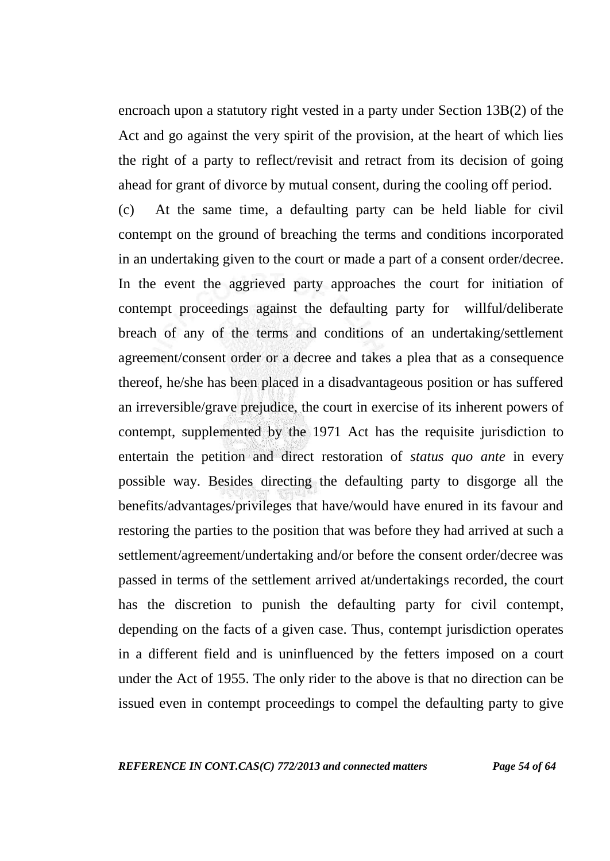encroach upon a statutory right vested in a party under Section 13B(2) of the Act and go against the very spirit of the provision, at the heart of which lies the right of a party to reflect/revisit and retract from its decision of going ahead for grant of divorce by mutual consent, during the cooling off period.

(c) At the same time, a defaulting party can be held liable for civil contempt on the ground of breaching the terms and conditions incorporated in an undertaking given to the court or made a part of a consent order/decree. In the event the aggrieved party approaches the court for initiation of contempt proceedings against the defaulting party for willful/deliberate breach of any of the terms and conditions of an undertaking/settlement agreement/consent order or a decree and takes a plea that as a consequence thereof, he/she has been placed in a disadvantageous position or has suffered an irreversible/grave prejudice, the court in exercise of its inherent powers of contempt, supplemented by the 1971 Act has the requisite jurisdiction to entertain the petition and direct restoration of *status quo ante* in every possible way. Besides directing the defaulting party to disgorge all the benefits/advantages/privileges that have/would have enured in its favour and restoring the parties to the position that was before they had arrived at such a settlement/agreement/undertaking and/or before the consent order/decree was passed in terms of the settlement arrived at/undertakings recorded, the court has the discretion to punish the defaulting party for civil contempt, depending on the facts of a given case. Thus, contempt jurisdiction operates in a different field and is uninfluenced by the fetters imposed on a court under the Act of 1955. The only rider to the above is that no direction can be issued even in contempt proceedings to compel the defaulting party to give

*REFERENCE IN CONT.CAS(C) 772/2013 and connected matters Page 54 of 64*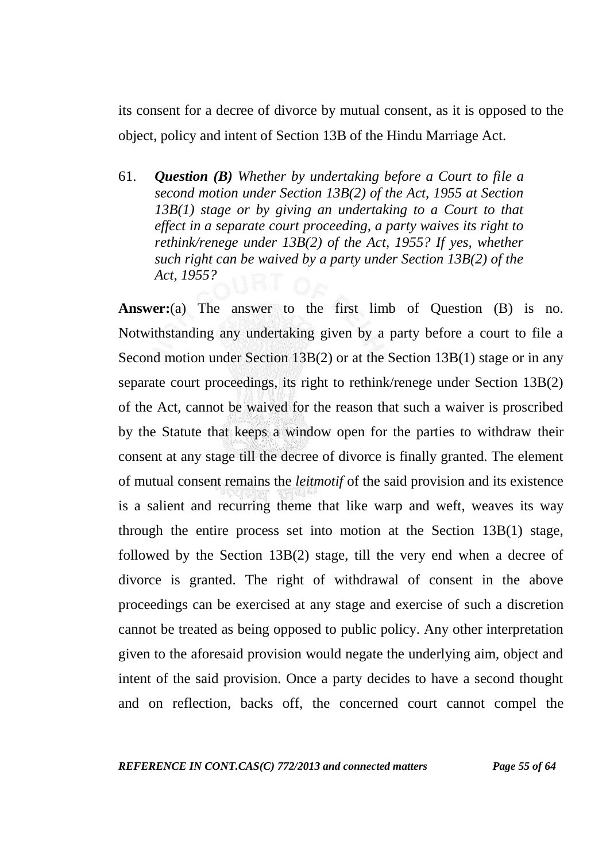its consent for a decree of divorce by mutual consent, as it is opposed to the object, policy and intent of Section 13B of the Hindu Marriage Act.

61. *Question (B) Whether by undertaking before a Court to file a second motion under Section 13B(2) of the Act, 1955 at Section 13B(1) stage or by giving an undertaking to a Court to that effect in a separate court proceeding, a party waives its right to rethink/renege under 13B(2) of the Act, 1955? If yes, whether such right can be waived by a party under Section 13B(2) of the Act, 1955?* 

**Answer:**(a) The answer to the first limb of Question (B) is no. Notwithstanding any undertaking given by a party before a court to file a Second motion under Section 13B(2) or at the Section 13B(1) stage or in any separate court proceedings, its right to rethink/renege under Section 13B(2) of the Act, cannot be waived for the reason that such a waiver is proscribed by the Statute that keeps a window open for the parties to withdraw their consent at any stage till the decree of divorce is finally granted. The element of mutual consent remains the *leitmotif* of the said provision and its existence is a salient and recurring theme that like warp and weft, weaves its way through the entire process set into motion at the Section 13B(1) stage, followed by the Section 13B(2) stage, till the very end when a decree of divorce is granted. The right of withdrawal of consent in the above proceedings can be exercised at any stage and exercise of such a discretion cannot be treated as being opposed to public policy. Any other interpretation given to the aforesaid provision would negate the underlying aim, object and intent of the said provision. Once a party decides to have a second thought and on reflection, backs off, the concerned court cannot compel the

*REFERENCE IN CONT.CAS(C) 772/2013 and connected matters Page 55 of 64*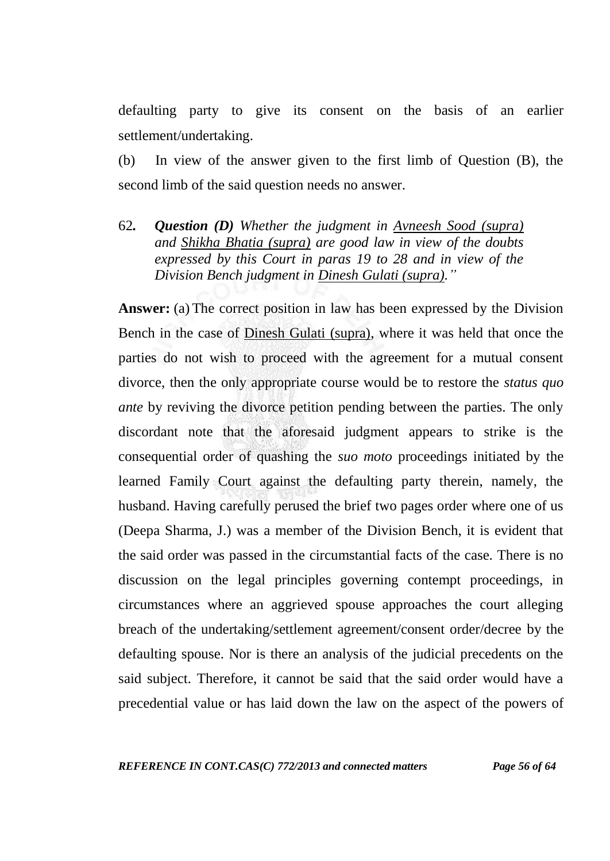defaulting party to give its consent on the basis of an earlier settlement/undertaking.

(b) In view of the answer given to the first limb of Question (B), the second limb of the said question needs no answer.

62*. Question (D) Whether the judgment in Avneesh Sood (supra) and Shikha Bhatia (supra) are good law in view of the doubts expressed by this Court in paras 19 to 28 and in view of the Division Bench judgment in Dinesh Gulati (supra).‖*

**Answer:** (a) The correct position in law has been expressed by the Division Bench in the case of Dinesh Gulati (supra), where it was held that once the parties do not wish to proceed with the agreement for a mutual consent divorce, then the only appropriate course would be to restore the *status quo ante* by reviving the divorce petition pending between the parties. The only discordant note that the aforesaid judgment appears to strike is the consequential order of quashing the *suo moto* proceedings initiated by the learned Family Court against the defaulting party therein, namely, the husband. Having carefully perused the brief two pages order where one of us (Deepa Sharma, J.) was a member of the Division Bench, it is evident that the said order was passed in the circumstantial facts of the case. There is no discussion on the legal principles governing contempt proceedings, in circumstances where an aggrieved spouse approaches the court alleging breach of the undertaking/settlement agreement/consent order/decree by the defaulting spouse. Nor is there an analysis of the judicial precedents on the said subject. Therefore, it cannot be said that the said order would have a precedential value or has laid down the law on the aspect of the powers of

*REFERENCE IN CONT.CAS(C) 772/2013 and connected matters Page 56 of 64*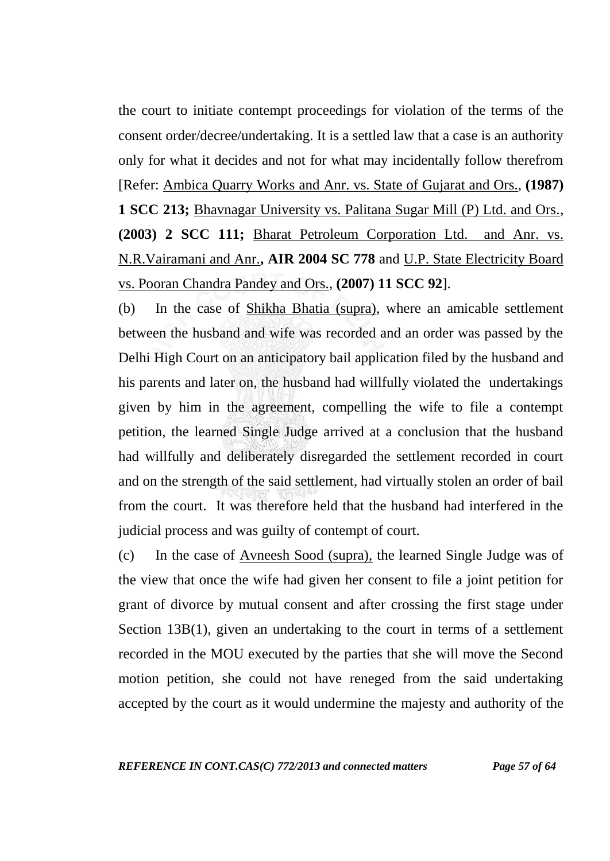the court to initiate contempt proceedings for violation of the terms of the consent order/decree/undertaking. It is a settled law that a case is an authority only for what it decides and not for what may incidentally follow therefrom [Refer: Ambica Quarry Works and Anr. vs. State of Gujarat and Ors., **(1987) 1 SCC 213;** Bhavnagar University vs. Palitana Sugar Mill (P) Ltd. and Ors., **(2003) 2 SCC 111;** Bharat Petroleum Corporation Ltd. and Anr. vs. N.R.Vairamani and Anr.**, AIR 2004 SC 778** and U.P. State Electricity Board vs. Pooran Chandra Pandey and Ors., **(2007) 11 SCC 92**].

(b) In the case of Shikha Bhatia (supra), where an amicable settlement between the husband and wife was recorded and an order was passed by the Delhi High Court on an anticipatory bail application filed by the husband and his parents and later on, the husband had willfully violated the undertakings given by him in the agreement, compelling the wife to file a contempt petition, the learned Single Judge arrived at a conclusion that the husband had willfully and deliberately disregarded the settlement recorded in court and on the strength of the said settlement, had virtually stolen an order of bail from the court. It was therefore held that the husband had interfered in the judicial process and was guilty of contempt of court.

(c) In the case of Avneesh Sood (supra), the learned Single Judge was of the view that once the wife had given her consent to file a joint petition for grant of divorce by mutual consent and after crossing the first stage under Section 13B(1), given an undertaking to the court in terms of a settlement recorded in the MOU executed by the parties that she will move the Second motion petition, she could not have reneged from the said undertaking accepted by the court as it would undermine the majesty and authority of the

*REFERENCE IN CONT.CAS(C) 772/2013 and connected matters Page 57 of 64*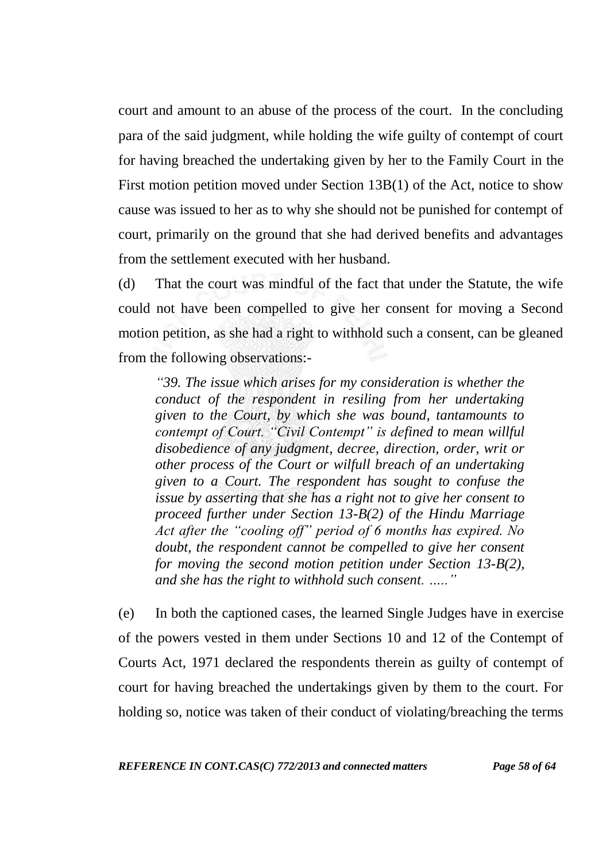court and amount to an abuse of the process of the court. In the concluding para of the said judgment, while holding the wife guilty of contempt of court for having breached the undertaking given by her to the Family Court in the First motion petition moved under Section 13B(1) of the Act, notice to show cause was issued to her as to why she should not be punished for contempt of court, primarily on the ground that she had derived benefits and advantages from the settlement executed with her husband.

(d) That the court was mindful of the fact that under the Statute, the wife could not have been compelled to give her consent for moving a Second motion petition, as she had a right to withhold such a consent, can be gleaned from the following observations:-

*―39. The issue which arises for my consideration is whether the conduct of the respondent in resiling from her undertaking given to the Court, by which she was bound, tantamounts to contempt of Court. "Civil Contempt" is defined to mean willful disobedience of any judgment, decree, direction, order, writ or other process of the Court or wilfull breach of an undertaking given to a Court. The respondent has sought to confuse the issue by asserting that she has a right not to give her consent to proceed further under Section 13-B(2) of the Hindu Marriage*  Act after the "cooling off" period of 6 months has expired. No *doubt, the respondent cannot be compelled to give her consent for moving the second motion petition under Section 13-B(2), and she has the right to withhold such consent. .....*"

(e) In both the captioned cases, the learned Single Judges have in exercise of the powers vested in them under Sections 10 and 12 of the Contempt of Courts Act, 1971 declared the respondents therein as guilty of contempt of court for having breached the undertakings given by them to the court. For holding so, notice was taken of their conduct of violating/breaching the terms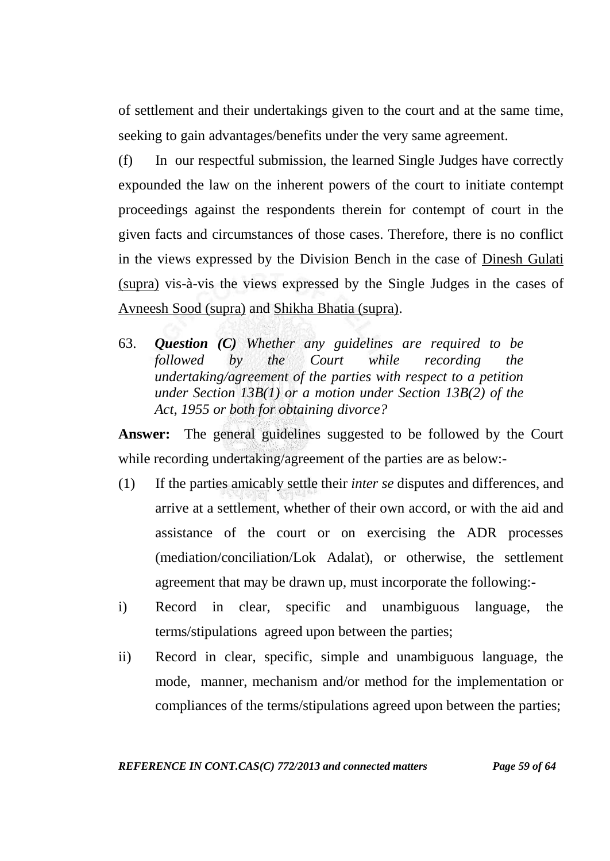of settlement and their undertakings given to the court and at the same time, seeking to gain advantages/benefits under the very same agreement.

(f) In our respectful submission, the learned Single Judges have correctly expounded the law on the inherent powers of the court to initiate contempt proceedings against the respondents therein for contempt of court in the given facts and circumstances of those cases. Therefore, there is no conflict in the views expressed by the Division Bench in the case of Dinesh Gulati (supra) vis-à-vis the views expressed by the Single Judges in the cases of Avneesh Sood (supra) and Shikha Bhatia (supra).

63. *Question (C) Whether any guidelines are required to be followed by the Court while recording the undertaking/agreement of the parties with respect to a petition under Section 13B(1) or a motion under Section 13B(2) of the Act, 1955 or both for obtaining divorce?* 

**Answer:** The general guidelines suggested to be followed by the Court while recording undertaking/agreement of the parties are as below:-

- (1) If the parties amicably settle their *inter se* disputes and differences, and arrive at a settlement, whether of their own accord, or with the aid and assistance of the court or on exercising the ADR processes (mediation/conciliation/Lok Adalat), or otherwise, the settlement agreement that may be drawn up, must incorporate the following:-
- i) Record in clear, specific and unambiguous language, the terms/stipulations agreed upon between the parties;
- ii) Record in clear, specific, simple and unambiguous language, the mode, manner, mechanism and/or method for the implementation or compliances of the terms/stipulations agreed upon between the parties;

*REFERENCE IN CONT.CAS(C) 772/2013 and connected matters Page 59 of 64*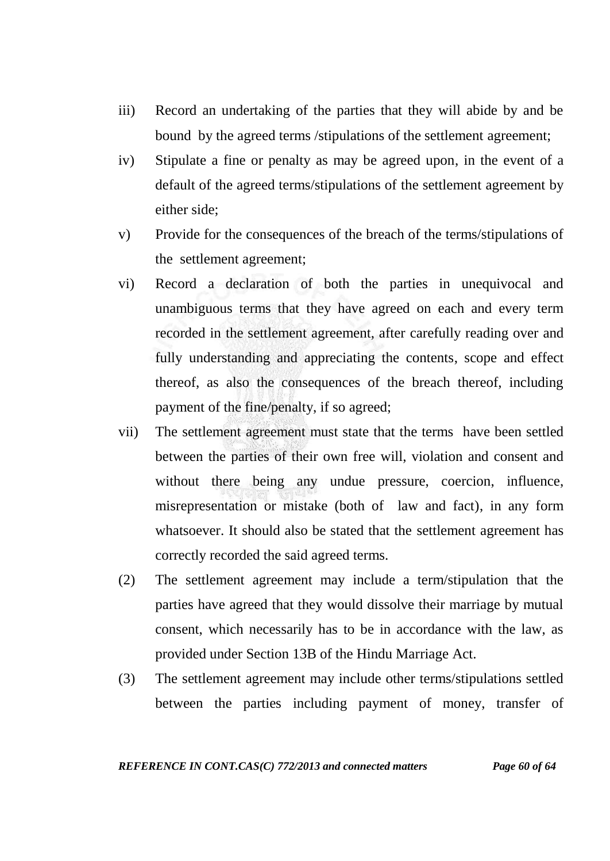- iii) Record an undertaking of the parties that they will abide by and be bound by the agreed terms /stipulations of the settlement agreement;
- iv) Stipulate a fine or penalty as may be agreed upon, in the event of a default of the agreed terms/stipulations of the settlement agreement by either side;
- v) Provide for the consequences of the breach of the terms/stipulations of the settlement agreement;
- vi) Record a declaration of both the parties in unequivocal and unambiguous terms that they have agreed on each and every term recorded in the settlement agreement, after carefully reading over and fully understanding and appreciating the contents, scope and effect thereof, as also the consequences of the breach thereof, including payment of the fine/penalty, if so agreed;
- vii) The settlement agreement must state that the terms have been settled between the parties of their own free will, violation and consent and without there being any undue pressure, coercion, influence, misrepresentation or mistake (both of law and fact), in any form whatsoever. It should also be stated that the settlement agreement has correctly recorded the said agreed terms.
- (2) The settlement agreement may include a term/stipulation that the parties have agreed that they would dissolve their marriage by mutual consent, which necessarily has to be in accordance with the law, as provided under Section 13B of the Hindu Marriage Act.
- (3) The settlement agreement may include other terms/stipulations settled between the parties including payment of money, transfer of

*REFERENCE IN CONT.CAS(C) 772/2013 and connected matters Page 60 of 64*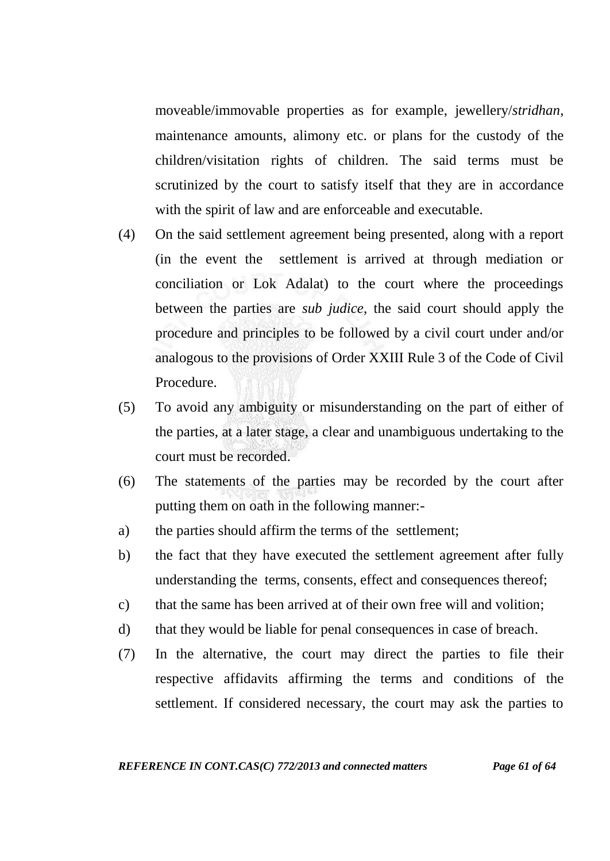moveable/immovable properties as for example, jewellery/*stridhan*, maintenance amounts, alimony etc. or plans for the custody of the children/visitation rights of children. The said terms must be scrutinized by the court to satisfy itself that they are in accordance with the spirit of law and are enforceable and executable.

- (4) On the said settlement agreement being presented, along with a report (in the event the settlement is arrived at through mediation or conciliation or Lok Adalat) to the court where the proceedings between the parties are *sub judice*, the said court should apply the procedure and principles to be followed by a civil court under and/or analogous to the provisions of Order XXIII Rule 3 of the Code of Civil Procedure.
- (5) To avoid any ambiguity or misunderstanding on the part of either of the parties, at a later stage, a clear and unambiguous undertaking to the court must be recorded.
- (6) The statements of the parties may be recorded by the court after putting them on oath in the following manner:-
- a) the parties should affirm the terms of the settlement;
- b) the fact that they have executed the settlement agreement after fully understanding the terms, consents, effect and consequences thereof;
- c) that the same has been arrived at of their own free will and volition;
- d) that they would be liable for penal consequences in case of breach.
- (7) In the alternative, the court may direct the parties to file their respective affidavits affirming the terms and conditions of the settlement. If considered necessary, the court may ask the parties to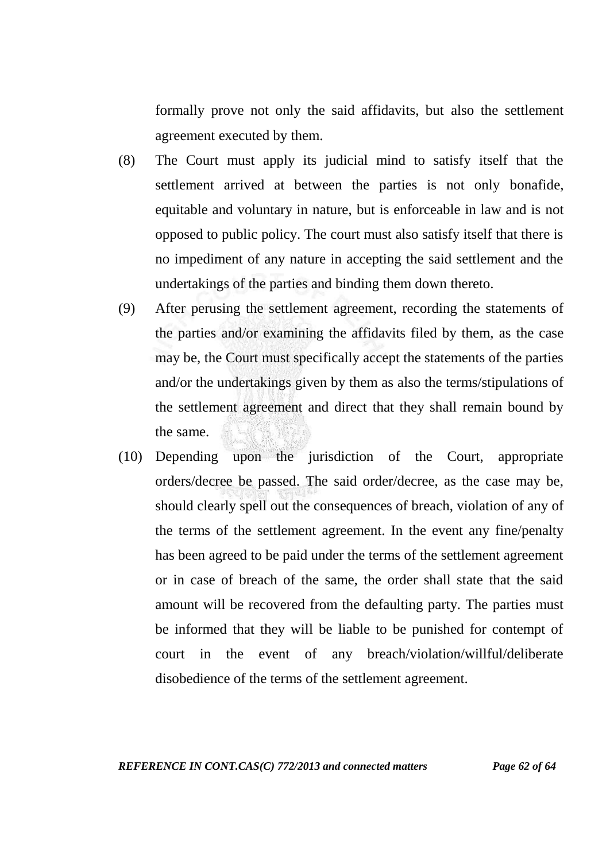formally prove not only the said affidavits, but also the settlement agreement executed by them.

- (8) The Court must apply its judicial mind to satisfy itself that the settlement arrived at between the parties is not only bonafide, equitable and voluntary in nature, but is enforceable in law and is not opposed to public policy. The court must also satisfy itself that there is no impediment of any nature in accepting the said settlement and the undertakings of the parties and binding them down thereto.
- (9) After perusing the settlement agreement, recording the statements of the parties and/or examining the affidavits filed by them, as the case may be, the Court must specifically accept the statements of the parties and/or the undertakings given by them as also the terms/stipulations of the settlement agreement and direct that they shall remain bound by the same.
- (10) Depending upon the jurisdiction of the Court, appropriate orders/decree be passed. The said order/decree, as the case may be, should clearly spell out the consequences of breach, violation of any of the terms of the settlement agreement. In the event any fine/penalty has been agreed to be paid under the terms of the settlement agreement or in case of breach of the same, the order shall state that the said amount will be recovered from the defaulting party. The parties must be informed that they will be liable to be punished for contempt of court in the event of any breach/violation/willful/deliberate disobedience of the terms of the settlement agreement.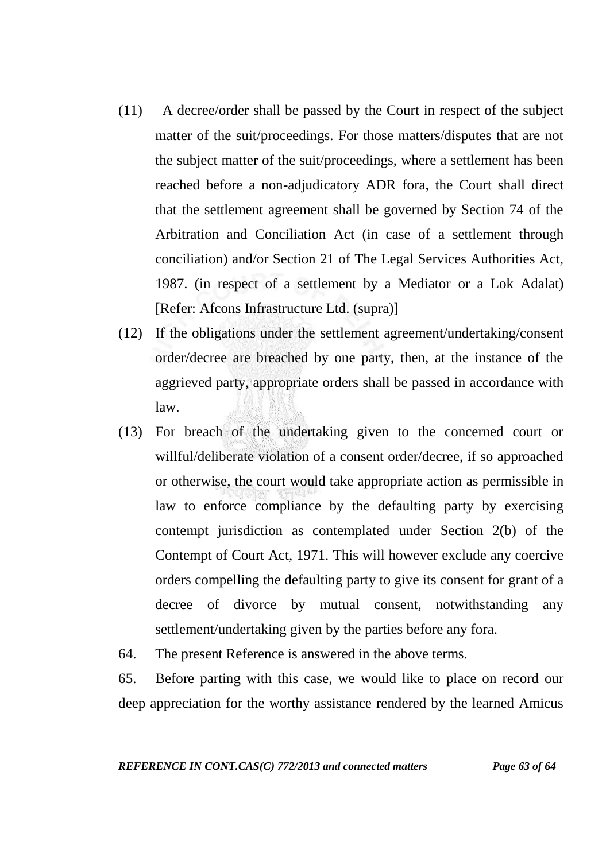- (11) A decree/order shall be passed by the Court in respect of the subject matter of the suit/proceedings. For those matters/disputes that are not the subject matter of the suit/proceedings, where a settlement has been reached before a non-adjudicatory ADR fora, the Court shall direct that the settlement agreement shall be governed by Section 74 of the Arbitration and Conciliation Act (in case of a settlement through conciliation) and/or Section 21 of The Legal Services Authorities Act, 1987. (in respect of a settlement by a Mediator or a Lok Adalat) [Refer: Afcons Infrastructure Ltd. (supra)]
- (12) If the obligations under the settlement agreement/undertaking/consent order/decree are breached by one party, then, at the instance of the aggrieved party, appropriate orders shall be passed in accordance with law.
- (13) For breach of the undertaking given to the concerned court or willful/deliberate violation of a consent order/decree, if so approached or otherwise, the court would take appropriate action as permissible in law to enforce compliance by the defaulting party by exercising contempt jurisdiction as contemplated under Section 2(b) of the Contempt of Court Act, 1971. This will however exclude any coercive orders compelling the defaulting party to give its consent for grant of a decree of divorce by mutual consent, notwithstanding any settlement/undertaking given by the parties before any fora.
- 64. The present Reference is answered in the above terms.

65. Before parting with this case, we would like to place on record our deep appreciation for the worthy assistance rendered by the learned Amicus